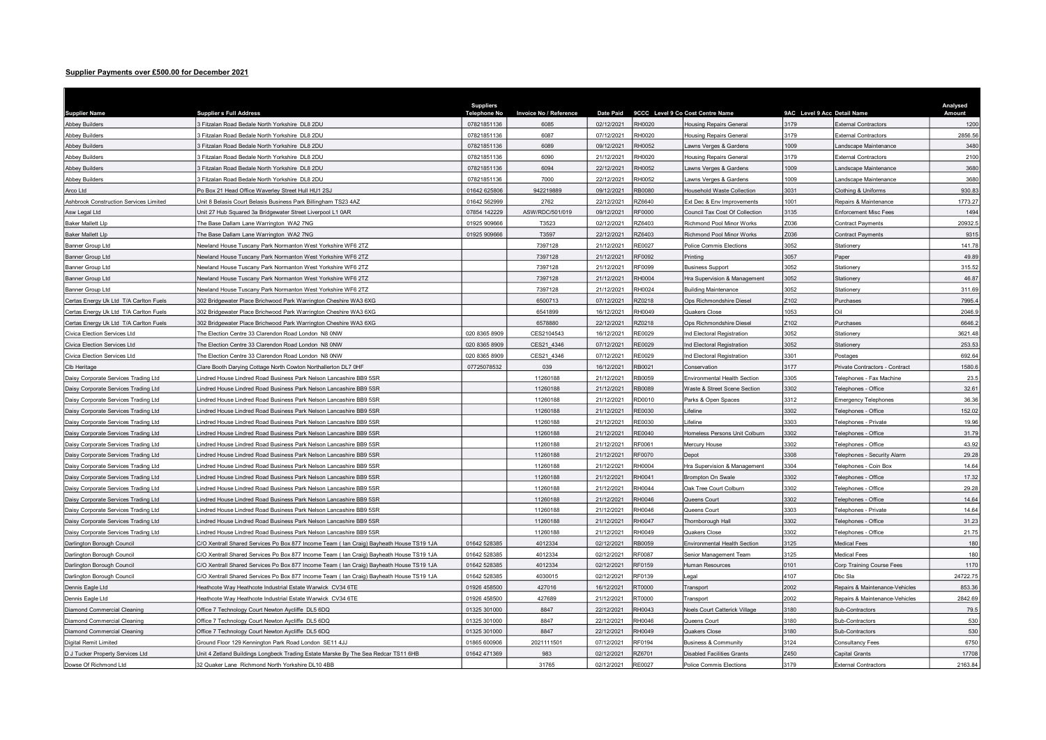## Supplier Payments over £500.00 for December 2021

| <b>Suppliers</b><br><b>Supplier s Full Address</b><br><b>Telephone No</b><br><b>Invoice No / Reference</b><br><b>Date Paid</b><br>9CCC Level 9 Co Cost Centre Name<br>9AC Level 9 Acc Detail Name<br><b>Supplier Name</b><br>07821851136<br><b>RH0020</b><br>3179<br>3 Fitzalan Road Bedale North Yorkshire DL8 2DU<br>6085<br>02/12/2021<br><b>Abbey Builders</b><br><b>Housing Repairs General</b><br><b>External Contractors</b><br>07821851136<br>3179<br>3 Fitzalan Road Bedale North Yorkshire DL8 2DU<br>6087<br>07/12/2021<br>RH0020<br><b>Housing Repairs General</b><br>External Contractors<br>Fitzalan Road Bedale North Yorkshire DL8 2DU<br>07821851136<br>RH0052<br>1009<br><b>Abbey Builders</b><br>6089<br>09/12/2021<br>awns Verges & Gardens<br>andscape Maintenance<br>3179<br>RH0020<br><b>Abbey Builders</b><br>3 Fitzalan Road Bedale North Yorkshire DL8 2DU<br>07821851136<br>6090<br>21/12/2021<br><b>External Contractors</b><br><b>Housing Repairs General</b><br>07821851136<br>22/12/2021<br>RH0052<br>009<br>Fitzalan Road Bedale North Yorkshire DL8 2DU<br>6094<br>awns Verges & Gardens<br>andscape Maintenance<br>07821851136<br>22/12/2021<br>1009<br><b>Abbey Builders</b><br>3 Fitzalan Road Bedale North Yorkshire DL8 2DU<br>7000<br>RH0052<br>awns Verges & Gardens<br>andscape Maintenance<br>Po Box 21 Head Office Waverley Street Hull HU1 2SJ<br>01642 625806<br>942219889<br>09/12/2021<br><b>RB0080</b><br>3031<br>Arco Ltd<br>lousehold Waste Collection<br>Clothing & Uniforms<br>1001<br>01642 562999<br>22/12/2021<br>RZ6640<br>Ashbrook Construction Services Limited<br>Unit 8 Belasis Court Belasis Business Park Billingham TS23 4AZ<br>2762<br>Ext Dec & Env Improvements<br>Repairs & Maintenance<br><b>RF0000</b><br>3135<br>Unit 27 Hub Squared 3a Bridgewater Street Liverpool L1 0AR<br>07854 142229<br>ASW/RDC/501/019<br>09/12/2021<br>Council Tax Cost Of Collection<br>Enforcement Misc Fees<br>Asw Legal Ltd<br>RZ6403<br>Z036<br><b>Baker Mallett Llp</b><br>The Base Dallam Lane Warrington WA2 7NG<br>01925 909666<br>T3523<br>02/12/2021<br>Richmond Pool Minor Works<br>Contract Payments<br>RZ6403<br>Z036<br><b>Baker Mallett Llp</b><br>01925 909666<br>T3597<br>22/12/2021<br>Richmond Pool Minor Works<br>The Base Dallam Lane Warrington WA2 7NG<br>Contract Payments<br>21/12/2021<br><b>RE0027</b><br>3052<br>Banner Group Ltd<br>Newland House Tuscany Park Normanton West Yorkshire WF6 2TZ<br>7397128<br>Police Commis Elections<br>tationery<br>057<br>Banner Group Ltd<br>Vewland House Tuscany Park Normanton West Yorkshire WF6 2TZ<br>7397128<br>21/12/2021<br>RF0092<br>Printina<br>Paper<br><b>RF0099</b><br>3052<br>315.52<br>Banner Group Ltd<br>Newland House Tuscany Park Normanton West Yorkshire WF6 2TZ<br>7397128<br>21/12/2021<br><b>Business Support</b><br><b>Stationery</b><br>3052<br>46.87<br>7397128<br>21/12/2021<br>RH0004<br>Banner Group Ltd<br>Newland House Tuscany Park Normanton West Yorkshire WF6 2TZ<br>Hra Supervision & Management<br><b>Stationery</b><br>3052<br>Banner Group Ltd<br>Newland House Tuscany Park Normanton West Yorkshire WF6 2TZ<br>7397128<br>21/12/2021<br>RH0024<br><b>Building Maintenance</b><br>Stationery<br>Certas Energy Uk Ltd T/A Carlton Fuels<br>302 Bridgewater Place Brichwood Park Warrington Cheshire WA3 6XG<br>6500713<br>07/12/2021<br>RZ0218<br>Ops Richmondshire Diesel<br>Z102<br>Purchases<br>1053<br>RH0049<br>liO<br>Certas Energy Uk Ltd T/A Carlton Fuels<br>302 Bridgewater Place Brichwood Park Warrington Cheshire WA3 6XG<br>6541899<br>16/12/2021<br>Quakers Close<br>RZ0218<br>102<br>Certas Energy Uk Ltd T/A Carlton Fuels<br>6578880<br>22/12/2021<br>302 Bridgewater Place Brichwood Park Warrington Cheshire WA3 6XG<br>Ops Richmondshire Diese<br>Purchases<br>3052<br>Civica Election Services Ltd<br>The Election Centre 33 Clarendon Road London N8 0NW<br>020 8365 8909<br>CES2104543<br>16/12/2021<br>RE0029<br>nd Electoral Registration<br>Stationery<br>020 8365 8909<br>3052<br>253.53<br>CES21 4346<br>07/12/2021<br>RE0029<br>Civica Election Services Ltd<br>The Election Centre 33 Clarendon Road London N8 0NW<br>nd Electoral Registration<br><b>Stationery</b><br>3301<br>692.64<br>020 8365 8909<br>CES21_4346<br>07/12/2021<br>RE0029<br>Civica Election Services Ltd<br>The Election Centre 33 Clarendon Road London N8 0NW<br>nd Electoral Registration<br>Postages<br>07725078532<br>16/12/2021<br>RB0021<br>3177<br>1580.6<br>Clb Heritage<br>Clare Booth Darying Cottage North Cowton Northallerton DL7 0HF<br>039<br>Conservation<br>Private Contractors - Contract<br>Daisy Corporate Services Trading Ltd<br>Lindred House Lindred Road Business Park Nelson Lancashire BB9 5SR<br>11260188<br>21/12/2021<br>RB0059<br>Environmental Health Section<br>3305<br>elephones - Fax Machine<br>3302<br>21/12/2021<br>RB0089<br>Daisy Corporate Services Trading Ltd<br>indred House Lindred Road Business Park Nelson Lancashire BB9 5SR<br>11260188<br><b>Naste &amp; Street Scene Section</b><br>elephones - Office<br>Daisy Corporate Services Trading Ltd<br>indred House Lindred Road Business Park Nelson Lancashire BB9 5SR<br>11260188<br>21/12/2021<br>RD0010<br>Parks & Open Spaces<br>3312<br>36.36<br><b>Emergency Telephones</b><br>3302<br>11260188<br>21/12/2021<br><b>RE0030</b><br><i>ifeline</i><br>152.02<br>Daisy Corporate Services Trading Ltd<br>indred House Lindred Road Business Park Nelson Lancashire BB9 5SR<br>elephones - Office<br>3303<br>19.96<br>RE0030<br>Daisy Corporate Services Trading Ltd<br>indred House Lindred Road Business Park Nelson Lancashire BB9 5SR<br>11260188<br>21/12/2021<br>ifeline<br>elephones - Private<br>21/12/2021<br>RE0040<br>3302<br>11260188<br>Homeless Persons Unit Colburn<br>Daisy Corporate Services Trading Ltd<br>indred House Lindred Road Business Park Nelson Lancashire BB9 5SR<br>elephones - Office<br>11260188<br>21/12/2021<br>RF0061<br>3302<br>Daisy Corporate Services Trading Ltd<br>Lindred House Lindred Road Business Park Nelson Lancashire BB9 5SR<br>Mercury House<br>Felephones - Office<br>11260188<br>21/12/2021<br>RF0070<br>3308<br>Daisy Corporate Services Trading Ltd<br>indred House Lindred Road Business Park Nelson Lancashire BB9 5SR<br>elephones - Security Alarm<br>Depot<br>21/12/2021<br>RH0004<br>3304<br>Daisy Corporate Services Trading Ltd<br>indred House Lindred Road Business Park Nelson Lancashire BB9 5SR<br>11260188<br>Hra Supervision & Management<br>elephones - Coin Box<br>3302<br>17.32<br>Daisy Corporate Services Trading Ltd<br>indred House Lindred Road Business Park Nelson Lancashire BB9 5SR<br>11260188<br>21/12/2021<br><b>RH0041</b><br><b>Brompton On Swale</b><br>elephones - Office<br>11260188<br>21/12/2021<br>RH0044<br>3302<br>29.28<br>Daisy Corporate Services Trading Ltd<br>indred House Lindred Road Business Park Nelson Lancashire BB9 5SR<br>Oak Tree Court Colburn<br>elephones - Office<br>3302<br><b>RH0046</b><br>14.64<br>Daisy Corporate Services Trading Ltd<br>indred House Lindred Road Business Park Nelson Lancashire BB9 5SR<br>11260188<br>21/12/2021<br>Queens Court<br>elephones - Office<br>11260188<br>21/12/2021<br><b>RH0046</b><br>3303<br>14.64<br>Lindred House Lindred Road Business Park Nelson Lancashire BB9 5SR<br>Daisy Corporate Services Trading Ltd<br>Queens Court<br>elephones - Private<br>11260188<br>21/12/2021<br><b>RH0047</b><br>3302<br>Daisy Corporate Services Trading Ltd<br>Lindred House Lindred Road Business Park Nelson Lancashire BB9 5SR<br>Thornborough Hall<br>elephones - Office<br>indred House Lindred Road Business Park Nelson Lancashire BB9 5SR<br>11260188<br>21/12/2021<br>RH0049<br>3302<br>Daisy Corporate Services Trading Ltd<br><b>Quakers Close</b><br>elephones - Office<br>3125<br>01642 528385<br>4012334<br>RB0059<br>Darlington Borough Council<br>C/O Xentrall Shared Services Po Box 877 Income Team ( Ian Craig) Bayheath House TS19 1JA<br>02/12/2021<br>Environmental Health Section<br><b>Medical Fees</b><br>Darlington Borough Council<br>C/O Xentrall Shared Services Po Box 877 Income Team ( Ian Craig) Bayheath House TS19 1JA<br>01642 528385<br>4012334<br>02/12/2021<br><b>RF0087</b><br>3125<br>Senior Management Team<br>Medical Fees<br>RF0159<br>0101<br>Darlington Borough Council<br>C/O Xentrall Shared Services Po Box 877 Income Team ( lan Craig) Bayheath House TS19 1JA<br>01642 528385<br>4012334<br>02/12/2021<br>Iuman Resources<br>Corp Training Course Fees<br>4107<br>01642 528385<br>RF0139<br>24722.75<br>C/O Xentrall Shared Services Po Box 877 Income Team ( Ian Craig) Bayheath House TS19 1JA<br>4030015<br>02/12/2021<br>Dbc Sla<br>Darlington Borough Council<br>egal<br>01926 458500<br>427016<br>16/12/2021<br><b>RT0000</b><br>2002<br>853.36<br>Heathcote Way Heathcote Industrial Estate Warwick CV34 6TE<br>Dennis Eagle Ltd<br>Transport<br>Repairs & Maintenance-Vehicles<br>01926 458500<br>RT0000<br>2002<br>2842.69<br>Dennis Eagle Ltd<br>Heathcote Way Heathcote Industrial Estate Warwick CV34 6TE<br>427689<br>21/12/2021<br>Transport<br>Repairs & Maintenance-Vehicles<br>RH0043<br>3180<br>Diamond Commercial Cleaning<br>Office 7 Technology Court Newton Aycliffe DL5 6DQ<br>01325 301000<br>8847<br>22/12/2021<br>Noels Court Catterick Village<br>Sub-Contractors<br>3180<br>01325 301000<br>8847<br>RH0046<br>Diamond Commercial Cleaning<br>Office 7 Technology Court Newton Aycliffe DL5 6DQ<br>22/12/2021<br>Queens Court<br>Sub-Contractors<br>01325 301000<br>8847<br>22/12/2021<br>RH0049<br>3180<br><b>Diamond Commercial Cleaning</b><br>Office 7 Technology Court Newton Aycliffe DL5 6DQ<br>Quakers Close<br><b>Sub-Contractors</b><br>6750<br>Digital Remit Limited<br>Ground Floor 129 Kennington Park Road London SE11 4JJ<br>01865 600906<br>2021111501<br>07/12/2021<br>RF0194<br>Business & Community<br>3124<br>Consultancy Fees<br>RZ6701<br>Z450<br>17708<br>01642 471369<br>983<br>02/12/2021<br>D J Tucker Property Services Ltd<br>Unit 4 Zetland Buildings Longbeck Trading Estate Marske By The Sea Redcar TS11 6HB<br><b>Disabled Facilities Grants</b><br>Capital Grants<br>32 Quaker Lane Richmond North Yorkshire DL10 4BB<br>31765<br>02/12/2021<br><b>RE0027</b><br>3179<br>2163.84<br>Police Commis Elections<br><b>External Contractors</b> |                       |  |  |  |  |                    |
|------------------------------------------------------------------------------------------------------------------------------------------------------------------------------------------------------------------------------------------------------------------------------------------------------------------------------------------------------------------------------------------------------------------------------------------------------------------------------------------------------------------------------------------------------------------------------------------------------------------------------------------------------------------------------------------------------------------------------------------------------------------------------------------------------------------------------------------------------------------------------------------------------------------------------------------------------------------------------------------------------------------------------------------------------------------------------------------------------------------------------------------------------------------------------------------------------------------------------------------------------------------------------------------------------------------------------------------------------------------------------------------------------------------------------------------------------------------------------------------------------------------------------------------------------------------------------------------------------------------------------------------------------------------------------------------------------------------------------------------------------------------------------------------------------------------------------------------------------------------------------------------------------------------------------------------------------------------------------------------------------------------------------------------------------------------------------------------------------------------------------------------------------------------------------------------------------------------------------------------------------------------------------------------------------------------------------------------------------------------------------------------------------------------------------------------------------------------------------------------------------------------------------------------------------------------------------------------------------------------------------------------------------------------------------------------------------------------------------------------------------------------------------------------------------------------------------------------------------------------------------------------------------------------------------------------------------------------------------------------------------------------------------------------------------------------------------------------------------------------------------------------------------------------------------------------------------------------------------------------------------------------------------------------------------------------------------------------------------------------------------------------------------------------------------------------------------------------------------------------------------------------------------------------------------------------------------------------------------------------------------------------------------------------------------------------------------------------------------------------------------------------------------------------------------------------------------------------------------------------------------------------------------------------------------------------------------------------------------------------------------------------------------------------------------------------------------------------------------------------------------------------------------------------------------------------------------------------------------------------------------------------------------------------------------------------------------------------------------------------------------------------------------------------------------------------------------------------------------------------------------------------------------------------------------------------------------------------------------------------------------------------------------------------------------------------------------------------------------------------------------------------------------------------------------------------------------------------------------------------------------------------------------------------------------------------------------------------------------------------------------------------------------------------------------------------------------------------------------------------------------------------------------------------------------------------------------------------------------------------------------------------------------------------------------------------------------------------------------------------------------------------------------------------------------------------------------------------------------------------------------------------------------------------------------------------------------------------------------------------------------------------------------------------------------------------------------------------------------------------------------------------------------------------------------------------------------------------------------------------------------------------------------------------------------------------------------------------------------------------------------------------------------------------------------------------------------------------------------------------------------------------------------------------------------------------------------------------------------------------------------------------------------------------------------------------------------------------------------------------------------------------------------------------------------------------------------------------------------------------------------------------------------------------------------------------------------------------------------------------------------------------------------------------------------------------------------------------------------------------------------------------------------------------------------------------------------------------------------------------------------------------------------------------------------------------------------------------------------------------------------------------------------------------------------------------------------------------------------------------------------------------------------------------------------------------------------------------------------------------------------------------------------------------------------------------------------------------------------------------------------------------------------------------------------------------------------------------------------------------------------------------------------------------------------------------------------------------------------------------------------------------------------------------------------------------------------------------------------------------------------------------------------------------------------------------------------------------------------------------------------------------------------------------------------------------------------------------------------------------------------------------------------------------------------------------------------------------------------------------------------------------------------------------------------------------------------------------------------------------------------------------------------------------------------------------------------------------------------------------------------------------------------------------------------------------------------------------------------------------------------------------------------------------------------------------------------------------------------------------------------------------------------------------------------------------------------------------------------------------------------------------------------------------------------------------------------------------------------------------------------------------------------------------------------------------------------------------------------------------------------------------------------------------------------------------------------------------------------------------------------------------------------------------------------------------------------------------------------------------------------------------------------------------------------------------------------------------------------------------------------------------------------------------------------------------------------------------------------------------------------------------------------------------------------------------------------------------------------------------------------------------------------------------------------------------------------------------------------------------------------------------------------------------------------------------------------------------------------------------------------------------------------------------------------------------------------------------------------------------------------------------------------------------------------------------------------------------------------------------------------------------------------------------------------------------------------------------------------------------------------------------------------------------------------------------------------------------------------------------------------------------------------------------------------------------------------------------------------------|-----------------------|--|--|--|--|--------------------|
|                                                                                                                                                                                                                                                                                                                                                                                                                                                                                                                                                                                                                                                                                                                                                                                                                                                                                                                                                                                                                                                                                                                                                                                                                                                                                                                                                                                                                                                                                                                                                                                                                                                                                                                                                                                                                                                                                                                                                                                                                                                                                                                                                                                                                                                                                                                                                                                                                                                                                                                                                                                                                                                                                                                                                                                                                                                                                                                                                                                                                                                                                                                                                                                                                                                                                                                                                                                                                                                                                                                                                                                                                                                                                                                                                                                                                                                                                                                                                                                                                                                                                                                                                                                                                                                                                                                                                                                                                                                                                                                                                                                                                                                                                                                                                                                                                                                                                                                                                                                                                                                                                                                                                                                                                                                                                                                                                                                                                                                                                                                                                                                                                                                                                                                                                                                                                                                                                                                                                                                                                                                                                                                                                                                                                                                                                                                                                                                                                                                                                                                                                                                                                                                                                                                                                                                                                                                                                                                                                                                                                                                                                                                                                                                                                                                                                                                                                                                                                                                                                                                                                                                                                                                                                                                                                                                                                                                                                                                                                                                                                                                                                                                                                                                                                                                                                                                                                                                                                                                                                                                                                                                                                                                                                                                                                                                                                                                                                                                                                                                                                                                                                                                                                                                                                                                                                                                                                                                                                                                                                                                                                                                                                                                                                                                                                                                                                                                                                                                                                                                                                                                                                                                                                                                                                                                                                                                                                                                                                                                                                    |                       |  |  |  |  | Analysed<br>Amount |
| 2856.56<br>3480<br>2100<br>3680<br>3680<br>930.83<br>1773.27<br>1494<br>20932.5<br>9315<br>141.78<br>49.89<br>311.69<br>7995.4<br>2046.9<br>6646.2<br>3621.48<br>23.5<br>32.61<br>31.79<br>43.92<br>29.28<br>14.64<br>31.23<br>21.75<br>180<br>180<br>1170<br>79.5<br>530<br>530                                                                                                                                                                                                                                                                                                                                                                                                                                                                                                                                                                                                                                                                                                                                                                                                                                                                                                                                                                                                                                                                                                                                                                                                                                                                                                                                                                                                                                                                                                                                                                                                                                                                                                                                                                                                                                                                                                                                                                                                                                                                                                                                                                                                                                                                                                                                                                                                                                                                                                                                                                                                                                                                                                                                                                                                                                                                                                                                                                                                                                                                                                                                                                                                                                                                                                                                                                                                                                                                                                                                                                                                                                                                                                                                                                                                                                                                                                                                                                                                                                                                                                                                                                                                                                                                                                                                                                                                                                                                                                                                                                                                                                                                                                                                                                                                                                                                                                                                                                                                                                                                                                                                                                                                                                                                                                                                                                                                                                                                                                                                                                                                                                                                                                                                                                                                                                                                                                                                                                                                                                                                                                                                                                                                                                                                                                                                                                                                                                                                                                                                                                                                                                                                                                                                                                                                                                                                                                                                                                                                                                                                                                                                                                                                                                                                                                                                                                                                                                                                                                                                                                                                                                                                                                                                                                                                                                                                                                                                                                                                                                                                                                                                                                                                                                                                                                                                                                                                                                                                                                                                                                                                                                                                                                                                                                                                                                                                                                                                                                                                                                                                                                                                                                                                                                                                                                                                                                                                                                                                                                                                                                                                                                                                                                                                                                                                                                                                                                                                                                                                                                                                                                                                                                                                   |                       |  |  |  |  | 1200               |
|                                                                                                                                                                                                                                                                                                                                                                                                                                                                                                                                                                                                                                                                                                                                                                                                                                                                                                                                                                                                                                                                                                                                                                                                                                                                                                                                                                                                                                                                                                                                                                                                                                                                                                                                                                                                                                                                                                                                                                                                                                                                                                                                                                                                                                                                                                                                                                                                                                                                                                                                                                                                                                                                                                                                                                                                                                                                                                                                                                                                                                                                                                                                                                                                                                                                                                                                                                                                                                                                                                                                                                                                                                                                                                                                                                                                                                                                                                                                                                                                                                                                                                                                                                                                                                                                                                                                                                                                                                                                                                                                                                                                                                                                                                                                                                                                                                                                                                                                                                                                                                                                                                                                                                                                                                                                                                                                                                                                                                                                                                                                                                                                                                                                                                                                                                                                                                                                                                                                                                                                                                                                                                                                                                                                                                                                                                                                                                                                                                                                                                                                                                                                                                                                                                                                                                                                                                                                                                                                                                                                                                                                                                                                                                                                                                                                                                                                                                                                                                                                                                                                                                                                                                                                                                                                                                                                                                                                                                                                                                                                                                                                                                                                                                                                                                                                                                                                                                                                                                                                                                                                                                                                                                                                                                                                                                                                                                                                                                                                                                                                                                                                                                                                                                                                                                                                                                                                                                                                                                                                                                                                                                                                                                                                                                                                                                                                                                                                                                                                                                                                                                                                                                                                                                                                                                                                                                                                                                                                                                                                                    | <b>Abbey Builders</b> |  |  |  |  |                    |
|                                                                                                                                                                                                                                                                                                                                                                                                                                                                                                                                                                                                                                                                                                                                                                                                                                                                                                                                                                                                                                                                                                                                                                                                                                                                                                                                                                                                                                                                                                                                                                                                                                                                                                                                                                                                                                                                                                                                                                                                                                                                                                                                                                                                                                                                                                                                                                                                                                                                                                                                                                                                                                                                                                                                                                                                                                                                                                                                                                                                                                                                                                                                                                                                                                                                                                                                                                                                                                                                                                                                                                                                                                                                                                                                                                                                                                                                                                                                                                                                                                                                                                                                                                                                                                                                                                                                                                                                                                                                                                                                                                                                                                                                                                                                                                                                                                                                                                                                                                                                                                                                                                                                                                                                                                                                                                                                                                                                                                                                                                                                                                                                                                                                                                                                                                                                                                                                                                                                                                                                                                                                                                                                                                                                                                                                                                                                                                                                                                                                                                                                                                                                                                                                                                                                                                                                                                                                                                                                                                                                                                                                                                                                                                                                                                                                                                                                                                                                                                                                                                                                                                                                                                                                                                                                                                                                                                                                                                                                                                                                                                                                                                                                                                                                                                                                                                                                                                                                                                                                                                                                                                                                                                                                                                                                                                                                                                                                                                                                                                                                                                                                                                                                                                                                                                                                                                                                                                                                                                                                                                                                                                                                                                                                                                                                                                                                                                                                                                                                                                                                                                                                                                                                                                                                                                                                                                                                                                                                                                                                                    |                       |  |  |  |  |                    |
|                                                                                                                                                                                                                                                                                                                                                                                                                                                                                                                                                                                                                                                                                                                                                                                                                                                                                                                                                                                                                                                                                                                                                                                                                                                                                                                                                                                                                                                                                                                                                                                                                                                                                                                                                                                                                                                                                                                                                                                                                                                                                                                                                                                                                                                                                                                                                                                                                                                                                                                                                                                                                                                                                                                                                                                                                                                                                                                                                                                                                                                                                                                                                                                                                                                                                                                                                                                                                                                                                                                                                                                                                                                                                                                                                                                                                                                                                                                                                                                                                                                                                                                                                                                                                                                                                                                                                                                                                                                                                                                                                                                                                                                                                                                                                                                                                                                                                                                                                                                                                                                                                                                                                                                                                                                                                                                                                                                                                                                                                                                                                                                                                                                                                                                                                                                                                                                                                                                                                                                                                                                                                                                                                                                                                                                                                                                                                                                                                                                                                                                                                                                                                                                                                                                                                                                                                                                                                                                                                                                                                                                                                                                                                                                                                                                                                                                                                                                                                                                                                                                                                                                                                                                                                                                                                                                                                                                                                                                                                                                                                                                                                                                                                                                                                                                                                                                                                                                                                                                                                                                                                                                                                                                                                                                                                                                                                                                                                                                                                                                                                                                                                                                                                                                                                                                                                                                                                                                                                                                                                                                                                                                                                                                                                                                                                                                                                                                                                                                                                                                                                                                                                                                                                                                                                                                                                                                                                                                                                                                                                    |                       |  |  |  |  |                    |
|                                                                                                                                                                                                                                                                                                                                                                                                                                                                                                                                                                                                                                                                                                                                                                                                                                                                                                                                                                                                                                                                                                                                                                                                                                                                                                                                                                                                                                                                                                                                                                                                                                                                                                                                                                                                                                                                                                                                                                                                                                                                                                                                                                                                                                                                                                                                                                                                                                                                                                                                                                                                                                                                                                                                                                                                                                                                                                                                                                                                                                                                                                                                                                                                                                                                                                                                                                                                                                                                                                                                                                                                                                                                                                                                                                                                                                                                                                                                                                                                                                                                                                                                                                                                                                                                                                                                                                                                                                                                                                                                                                                                                                                                                                                                                                                                                                                                                                                                                                                                                                                                                                                                                                                                                                                                                                                                                                                                                                                                                                                                                                                                                                                                                                                                                                                                                                                                                                                                                                                                                                                                                                                                                                                                                                                                                                                                                                                                                                                                                                                                                                                                                                                                                                                                                                                                                                                                                                                                                                                                                                                                                                                                                                                                                                                                                                                                                                                                                                                                                                                                                                                                                                                                                                                                                                                                                                                                                                                                                                                                                                                                                                                                                                                                                                                                                                                                                                                                                                                                                                                                                                                                                                                                                                                                                                                                                                                                                                                                                                                                                                                                                                                                                                                                                                                                                                                                                                                                                                                                                                                                                                                                                                                                                                                                                                                                                                                                                                                                                                                                                                                                                                                                                                                                                                                                                                                                                                                                                                                                                    | <b>Abbey Builders</b> |  |  |  |  |                    |
|                                                                                                                                                                                                                                                                                                                                                                                                                                                                                                                                                                                                                                                                                                                                                                                                                                                                                                                                                                                                                                                                                                                                                                                                                                                                                                                                                                                                                                                                                                                                                                                                                                                                                                                                                                                                                                                                                                                                                                                                                                                                                                                                                                                                                                                                                                                                                                                                                                                                                                                                                                                                                                                                                                                                                                                                                                                                                                                                                                                                                                                                                                                                                                                                                                                                                                                                                                                                                                                                                                                                                                                                                                                                                                                                                                                                                                                                                                                                                                                                                                                                                                                                                                                                                                                                                                                                                                                                                                                                                                                                                                                                                                                                                                                                                                                                                                                                                                                                                                                                                                                                                                                                                                                                                                                                                                                                                                                                                                                                                                                                                                                                                                                                                                                                                                                                                                                                                                                                                                                                                                                                                                                                                                                                                                                                                                                                                                                                                                                                                                                                                                                                                                                                                                                                                                                                                                                                                                                                                                                                                                                                                                                                                                                                                                                                                                                                                                                                                                                                                                                                                                                                                                                                                                                                                                                                                                                                                                                                                                                                                                                                                                                                                                                                                                                                                                                                                                                                                                                                                                                                                                                                                                                                                                                                                                                                                                                                                                                                                                                                                                                                                                                                                                                                                                                                                                                                                                                                                                                                                                                                                                                                                                                                                                                                                                                                                                                                                                                                                                                                                                                                                                                                                                                                                                                                                                                                                                                                                                                                                    |                       |  |  |  |  |                    |
|                                                                                                                                                                                                                                                                                                                                                                                                                                                                                                                                                                                                                                                                                                                                                                                                                                                                                                                                                                                                                                                                                                                                                                                                                                                                                                                                                                                                                                                                                                                                                                                                                                                                                                                                                                                                                                                                                                                                                                                                                                                                                                                                                                                                                                                                                                                                                                                                                                                                                                                                                                                                                                                                                                                                                                                                                                                                                                                                                                                                                                                                                                                                                                                                                                                                                                                                                                                                                                                                                                                                                                                                                                                                                                                                                                                                                                                                                                                                                                                                                                                                                                                                                                                                                                                                                                                                                                                                                                                                                                                                                                                                                                                                                                                                                                                                                                                                                                                                                                                                                                                                                                                                                                                                                                                                                                                                                                                                                                                                                                                                                                                                                                                                                                                                                                                                                                                                                                                                                                                                                                                                                                                                                                                                                                                                                                                                                                                                                                                                                                                                                                                                                                                                                                                                                                                                                                                                                                                                                                                                                                                                                                                                                                                                                                                                                                                                                                                                                                                                                                                                                                                                                                                                                                                                                                                                                                                                                                                                                                                                                                                                                                                                                                                                                                                                                                                                                                                                                                                                                                                                                                                                                                                                                                                                                                                                                                                                                                                                                                                                                                                                                                                                                                                                                                                                                                                                                                                                                                                                                                                                                                                                                                                                                                                                                                                                                                                                                                                                                                                                                                                                                                                                                                                                                                                                                                                                                                                                                                                                                    |                       |  |  |  |  |                    |
|                                                                                                                                                                                                                                                                                                                                                                                                                                                                                                                                                                                                                                                                                                                                                                                                                                                                                                                                                                                                                                                                                                                                                                                                                                                                                                                                                                                                                                                                                                                                                                                                                                                                                                                                                                                                                                                                                                                                                                                                                                                                                                                                                                                                                                                                                                                                                                                                                                                                                                                                                                                                                                                                                                                                                                                                                                                                                                                                                                                                                                                                                                                                                                                                                                                                                                                                                                                                                                                                                                                                                                                                                                                                                                                                                                                                                                                                                                                                                                                                                                                                                                                                                                                                                                                                                                                                                                                                                                                                                                                                                                                                                                                                                                                                                                                                                                                                                                                                                                                                                                                                                                                                                                                                                                                                                                                                                                                                                                                                                                                                                                                                                                                                                                                                                                                                                                                                                                                                                                                                                                                                                                                                                                                                                                                                                                                                                                                                                                                                                                                                                                                                                                                                                                                                                                                                                                                                                                                                                                                                                                                                                                                                                                                                                                                                                                                                                                                                                                                                                                                                                                                                                                                                                                                                                                                                                                                                                                                                                                                                                                                                                                                                                                                                                                                                                                                                                                                                                                                                                                                                                                                                                                                                                                                                                                                                                                                                                                                                                                                                                                                                                                                                                                                                                                                                                                                                                                                                                                                                                                                                                                                                                                                                                                                                                                                                                                                                                                                                                                                                                                                                                                                                                                                                                                                                                                                                                                                                                                                                                    |                       |  |  |  |  |                    |
|                                                                                                                                                                                                                                                                                                                                                                                                                                                                                                                                                                                                                                                                                                                                                                                                                                                                                                                                                                                                                                                                                                                                                                                                                                                                                                                                                                                                                                                                                                                                                                                                                                                                                                                                                                                                                                                                                                                                                                                                                                                                                                                                                                                                                                                                                                                                                                                                                                                                                                                                                                                                                                                                                                                                                                                                                                                                                                                                                                                                                                                                                                                                                                                                                                                                                                                                                                                                                                                                                                                                                                                                                                                                                                                                                                                                                                                                                                                                                                                                                                                                                                                                                                                                                                                                                                                                                                                                                                                                                                                                                                                                                                                                                                                                                                                                                                                                                                                                                                                                                                                                                                                                                                                                                                                                                                                                                                                                                                                                                                                                                                                                                                                                                                                                                                                                                                                                                                                                                                                                                                                                                                                                                                                                                                                                                                                                                                                                                                                                                                                                                                                                                                                                                                                                                                                                                                                                                                                                                                                                                                                                                                                                                                                                                                                                                                                                                                                                                                                                                                                                                                                                                                                                                                                                                                                                                                                                                                                                                                                                                                                                                                                                                                                                                                                                                                                                                                                                                                                                                                                                                                                                                                                                                                                                                                                                                                                                                                                                                                                                                                                                                                                                                                                                                                                                                                                                                                                                                                                                                                                                                                                                                                                                                                                                                                                                                                                                                                                                                                                                                                                                                                                                                                                                                                                                                                                                                                                                                                                                                    |                       |  |  |  |  |                    |
|                                                                                                                                                                                                                                                                                                                                                                                                                                                                                                                                                                                                                                                                                                                                                                                                                                                                                                                                                                                                                                                                                                                                                                                                                                                                                                                                                                                                                                                                                                                                                                                                                                                                                                                                                                                                                                                                                                                                                                                                                                                                                                                                                                                                                                                                                                                                                                                                                                                                                                                                                                                                                                                                                                                                                                                                                                                                                                                                                                                                                                                                                                                                                                                                                                                                                                                                                                                                                                                                                                                                                                                                                                                                                                                                                                                                                                                                                                                                                                                                                                                                                                                                                                                                                                                                                                                                                                                                                                                                                                                                                                                                                                                                                                                                                                                                                                                                                                                                                                                                                                                                                                                                                                                                                                                                                                                                                                                                                                                                                                                                                                                                                                                                                                                                                                                                                                                                                                                                                                                                                                                                                                                                                                                                                                                                                                                                                                                                                                                                                                                                                                                                                                                                                                                                                                                                                                                                                                                                                                                                                                                                                                                                                                                                                                                                                                                                                                                                                                                                                                                                                                                                                                                                                                                                                                                                                                                                                                                                                                                                                                                                                                                                                                                                                                                                                                                                                                                                                                                                                                                                                                                                                                                                                                                                                                                                                                                                                                                                                                                                                                                                                                                                                                                                                                                                                                                                                                                                                                                                                                                                                                                                                                                                                                                                                                                                                                                                                                                                                                                                                                                                                                                                                                                                                                                                                                                                                                                                                                                                                    |                       |  |  |  |  |                    |
|                                                                                                                                                                                                                                                                                                                                                                                                                                                                                                                                                                                                                                                                                                                                                                                                                                                                                                                                                                                                                                                                                                                                                                                                                                                                                                                                                                                                                                                                                                                                                                                                                                                                                                                                                                                                                                                                                                                                                                                                                                                                                                                                                                                                                                                                                                                                                                                                                                                                                                                                                                                                                                                                                                                                                                                                                                                                                                                                                                                                                                                                                                                                                                                                                                                                                                                                                                                                                                                                                                                                                                                                                                                                                                                                                                                                                                                                                                                                                                                                                                                                                                                                                                                                                                                                                                                                                                                                                                                                                                                                                                                                                                                                                                                                                                                                                                                                                                                                                                                                                                                                                                                                                                                                                                                                                                                                                                                                                                                                                                                                                                                                                                                                                                                                                                                                                                                                                                                                                                                                                                                                                                                                                                                                                                                                                                                                                                                                                                                                                                                                                                                                                                                                                                                                                                                                                                                                                                                                                                                                                                                                                                                                                                                                                                                                                                                                                                                                                                                                                                                                                                                                                                                                                                                                                                                                                                                                                                                                                                                                                                                                                                                                                                                                                                                                                                                                                                                                                                                                                                                                                                                                                                                                                                                                                                                                                                                                                                                                                                                                                                                                                                                                                                                                                                                                                                                                                                                                                                                                                                                                                                                                                                                                                                                                                                                                                                                                                                                                                                                                                                                                                                                                                                                                                                                                                                                                                                                                                                                                                    |                       |  |  |  |  |                    |
|                                                                                                                                                                                                                                                                                                                                                                                                                                                                                                                                                                                                                                                                                                                                                                                                                                                                                                                                                                                                                                                                                                                                                                                                                                                                                                                                                                                                                                                                                                                                                                                                                                                                                                                                                                                                                                                                                                                                                                                                                                                                                                                                                                                                                                                                                                                                                                                                                                                                                                                                                                                                                                                                                                                                                                                                                                                                                                                                                                                                                                                                                                                                                                                                                                                                                                                                                                                                                                                                                                                                                                                                                                                                                                                                                                                                                                                                                                                                                                                                                                                                                                                                                                                                                                                                                                                                                                                                                                                                                                                                                                                                                                                                                                                                                                                                                                                                                                                                                                                                                                                                                                                                                                                                                                                                                                                                                                                                                                                                                                                                                                                                                                                                                                                                                                                                                                                                                                                                                                                                                                                                                                                                                                                                                                                                                                                                                                                                                                                                                                                                                                                                                                                                                                                                                                                                                                                                                                                                                                                                                                                                                                                                                                                                                                                                                                                                                                                                                                                                                                                                                                                                                                                                                                                                                                                                                                                                                                                                                                                                                                                                                                                                                                                                                                                                                                                                                                                                                                                                                                                                                                                                                                                                                                                                                                                                                                                                                                                                                                                                                                                                                                                                                                                                                                                                                                                                                                                                                                                                                                                                                                                                                                                                                                                                                                                                                                                                                                                                                                                                                                                                                                                                                                                                                                                                                                                                                                                                                                                                                    |                       |  |  |  |  |                    |
|                                                                                                                                                                                                                                                                                                                                                                                                                                                                                                                                                                                                                                                                                                                                                                                                                                                                                                                                                                                                                                                                                                                                                                                                                                                                                                                                                                                                                                                                                                                                                                                                                                                                                                                                                                                                                                                                                                                                                                                                                                                                                                                                                                                                                                                                                                                                                                                                                                                                                                                                                                                                                                                                                                                                                                                                                                                                                                                                                                                                                                                                                                                                                                                                                                                                                                                                                                                                                                                                                                                                                                                                                                                                                                                                                                                                                                                                                                                                                                                                                                                                                                                                                                                                                                                                                                                                                                                                                                                                                                                                                                                                                                                                                                                                                                                                                                                                                                                                                                                                                                                                                                                                                                                                                                                                                                                                                                                                                                                                                                                                                                                                                                                                                                                                                                                                                                                                                                                                                                                                                                                                                                                                                                                                                                                                                                                                                                                                                                                                                                                                                                                                                                                                                                                                                                                                                                                                                                                                                                                                                                                                                                                                                                                                                                                                                                                                                                                                                                                                                                                                                                                                                                                                                                                                                                                                                                                                                                                                                                                                                                                                                                                                                                                                                                                                                                                                                                                                                                                                                                                                                                                                                                                                                                                                                                                                                                                                                                                                                                                                                                                                                                                                                                                                                                                                                                                                                                                                                                                                                                                                                                                                                                                                                                                                                                                                                                                                                                                                                                                                                                                                                                                                                                                                                                                                                                                                                                                                                                                                                    |                       |  |  |  |  |                    |
|                                                                                                                                                                                                                                                                                                                                                                                                                                                                                                                                                                                                                                                                                                                                                                                                                                                                                                                                                                                                                                                                                                                                                                                                                                                                                                                                                                                                                                                                                                                                                                                                                                                                                                                                                                                                                                                                                                                                                                                                                                                                                                                                                                                                                                                                                                                                                                                                                                                                                                                                                                                                                                                                                                                                                                                                                                                                                                                                                                                                                                                                                                                                                                                                                                                                                                                                                                                                                                                                                                                                                                                                                                                                                                                                                                                                                                                                                                                                                                                                                                                                                                                                                                                                                                                                                                                                                                                                                                                                                                                                                                                                                                                                                                                                                                                                                                                                                                                                                                                                                                                                                                                                                                                                                                                                                                                                                                                                                                                                                                                                                                                                                                                                                                                                                                                                                                                                                                                                                                                                                                                                                                                                                                                                                                                                                                                                                                                                                                                                                                                                                                                                                                                                                                                                                                                                                                                                                                                                                                                                                                                                                                                                                                                                                                                                                                                                                                                                                                                                                                                                                                                                                                                                                                                                                                                                                                                                                                                                                                                                                                                                                                                                                                                                                                                                                                                                                                                                                                                                                                                                                                                                                                                                                                                                                                                                                                                                                                                                                                                                                                                                                                                                                                                                                                                                                                                                                                                                                                                                                                                                                                                                                                                                                                                                                                                                                                                                                                                                                                                                                                                                                                                                                                                                                                                                                                                                                                                                                                                                                    |                       |  |  |  |  |                    |
|                                                                                                                                                                                                                                                                                                                                                                                                                                                                                                                                                                                                                                                                                                                                                                                                                                                                                                                                                                                                                                                                                                                                                                                                                                                                                                                                                                                                                                                                                                                                                                                                                                                                                                                                                                                                                                                                                                                                                                                                                                                                                                                                                                                                                                                                                                                                                                                                                                                                                                                                                                                                                                                                                                                                                                                                                                                                                                                                                                                                                                                                                                                                                                                                                                                                                                                                                                                                                                                                                                                                                                                                                                                                                                                                                                                                                                                                                                                                                                                                                                                                                                                                                                                                                                                                                                                                                                                                                                                                                                                                                                                                                                                                                                                                                                                                                                                                                                                                                                                                                                                                                                                                                                                                                                                                                                                                                                                                                                                                                                                                                                                                                                                                                                                                                                                                                                                                                                                                                                                                                                                                                                                                                                                                                                                                                                                                                                                                                                                                                                                                                                                                                                                                                                                                                                                                                                                                                                                                                                                                                                                                                                                                                                                                                                                                                                                                                                                                                                                                                                                                                                                                                                                                                                                                                                                                                                                                                                                                                                                                                                                                                                                                                                                                                                                                                                                                                                                                                                                                                                                                                                                                                                                                                                                                                                                                                                                                                                                                                                                                                                                                                                                                                                                                                                                                                                                                                                                                                                                                                                                                                                                                                                                                                                                                                                                                                                                                                                                                                                                                                                                                                                                                                                                                                                                                                                                                                                                                                                                                                    |                       |  |  |  |  |                    |
|                                                                                                                                                                                                                                                                                                                                                                                                                                                                                                                                                                                                                                                                                                                                                                                                                                                                                                                                                                                                                                                                                                                                                                                                                                                                                                                                                                                                                                                                                                                                                                                                                                                                                                                                                                                                                                                                                                                                                                                                                                                                                                                                                                                                                                                                                                                                                                                                                                                                                                                                                                                                                                                                                                                                                                                                                                                                                                                                                                                                                                                                                                                                                                                                                                                                                                                                                                                                                                                                                                                                                                                                                                                                                                                                                                                                                                                                                                                                                                                                                                                                                                                                                                                                                                                                                                                                                                                                                                                                                                                                                                                                                                                                                                                                                                                                                                                                                                                                                                                                                                                                                                                                                                                                                                                                                                                                                                                                                                                                                                                                                                                                                                                                                                                                                                                                                                                                                                                                                                                                                                                                                                                                                                                                                                                                                                                                                                                                                                                                                                                                                                                                                                                                                                                                                                                                                                                                                                                                                                                                                                                                                                                                                                                                                                                                                                                                                                                                                                                                                                                                                                                                                                                                                                                                                                                                                                                                                                                                                                                                                                                                                                                                                                                                                                                                                                                                                                                                                                                                                                                                                                                                                                                                                                                                                                                                                                                                                                                                                                                                                                                                                                                                                                                                                                                                                                                                                                                                                                                                                                                                                                                                                                                                                                                                                                                                                                                                                                                                                                                                                                                                                                                                                                                                                                                                                                                                                                                                                                                                                    |                       |  |  |  |  |                    |
|                                                                                                                                                                                                                                                                                                                                                                                                                                                                                                                                                                                                                                                                                                                                                                                                                                                                                                                                                                                                                                                                                                                                                                                                                                                                                                                                                                                                                                                                                                                                                                                                                                                                                                                                                                                                                                                                                                                                                                                                                                                                                                                                                                                                                                                                                                                                                                                                                                                                                                                                                                                                                                                                                                                                                                                                                                                                                                                                                                                                                                                                                                                                                                                                                                                                                                                                                                                                                                                                                                                                                                                                                                                                                                                                                                                                                                                                                                                                                                                                                                                                                                                                                                                                                                                                                                                                                                                                                                                                                                                                                                                                                                                                                                                                                                                                                                                                                                                                                                                                                                                                                                                                                                                                                                                                                                                                                                                                                                                                                                                                                                                                                                                                                                                                                                                                                                                                                                                                                                                                                                                                                                                                                                                                                                                                                                                                                                                                                                                                                                                                                                                                                                                                                                                                                                                                                                                                                                                                                                                                                                                                                                                                                                                                                                                                                                                                                                                                                                                                                                                                                                                                                                                                                                                                                                                                                                                                                                                                                                                                                                                                                                                                                                                                                                                                                                                                                                                                                                                                                                                                                                                                                                                                                                                                                                                                                                                                                                                                                                                                                                                                                                                                                                                                                                                                                                                                                                                                                                                                                                                                                                                                                                                                                                                                                                                                                                                                                                                                                                                                                                                                                                                                                                                                                                                                                                                                                                                                                                                                                    |                       |  |  |  |  |                    |
|                                                                                                                                                                                                                                                                                                                                                                                                                                                                                                                                                                                                                                                                                                                                                                                                                                                                                                                                                                                                                                                                                                                                                                                                                                                                                                                                                                                                                                                                                                                                                                                                                                                                                                                                                                                                                                                                                                                                                                                                                                                                                                                                                                                                                                                                                                                                                                                                                                                                                                                                                                                                                                                                                                                                                                                                                                                                                                                                                                                                                                                                                                                                                                                                                                                                                                                                                                                                                                                                                                                                                                                                                                                                                                                                                                                                                                                                                                                                                                                                                                                                                                                                                                                                                                                                                                                                                                                                                                                                                                                                                                                                                                                                                                                                                                                                                                                                                                                                                                                                                                                                                                                                                                                                                                                                                                                                                                                                                                                                                                                                                                                                                                                                                                                                                                                                                                                                                                                                                                                                                                                                                                                                                                                                                                                                                                                                                                                                                                                                                                                                                                                                                                                                                                                                                                                                                                                                                                                                                                                                                                                                                                                                                                                                                                                                                                                                                                                                                                                                                                                                                                                                                                                                                                                                                                                                                                                                                                                                                                                                                                                                                                                                                                                                                                                                                                                                                                                                                                                                                                                                                                                                                                                                                                                                                                                                                                                                                                                                                                                                                                                                                                                                                                                                                                                                                                                                                                                                                                                                                                                                                                                                                                                                                                                                                                                                                                                                                                                                                                                                                                                                                                                                                                                                                                                                                                                                                                                                                                                                                    |                       |  |  |  |  |                    |
|                                                                                                                                                                                                                                                                                                                                                                                                                                                                                                                                                                                                                                                                                                                                                                                                                                                                                                                                                                                                                                                                                                                                                                                                                                                                                                                                                                                                                                                                                                                                                                                                                                                                                                                                                                                                                                                                                                                                                                                                                                                                                                                                                                                                                                                                                                                                                                                                                                                                                                                                                                                                                                                                                                                                                                                                                                                                                                                                                                                                                                                                                                                                                                                                                                                                                                                                                                                                                                                                                                                                                                                                                                                                                                                                                                                                                                                                                                                                                                                                                                                                                                                                                                                                                                                                                                                                                                                                                                                                                                                                                                                                                                                                                                                                                                                                                                                                                                                                                                                                                                                                                                                                                                                                                                                                                                                                                                                                                                                                                                                                                                                                                                                                                                                                                                                                                                                                                                                                                                                                                                                                                                                                                                                                                                                                                                                                                                                                                                                                                                                                                                                                                                                                                                                                                                                                                                                                                                                                                                                                                                                                                                                                                                                                                                                                                                                                                                                                                                                                                                                                                                                                                                                                                                                                                                                                                                                                                                                                                                                                                                                                                                                                                                                                                                                                                                                                                                                                                                                                                                                                                                                                                                                                                                                                                                                                                                                                                                                                                                                                                                                                                                                                                                                                                                                                                                                                                                                                                                                                                                                                                                                                                                                                                                                                                                                                                                                                                                                                                                                                                                                                                                                                                                                                                                                                                                                                                                                                                                                                                    |                       |  |  |  |  |                    |
|                                                                                                                                                                                                                                                                                                                                                                                                                                                                                                                                                                                                                                                                                                                                                                                                                                                                                                                                                                                                                                                                                                                                                                                                                                                                                                                                                                                                                                                                                                                                                                                                                                                                                                                                                                                                                                                                                                                                                                                                                                                                                                                                                                                                                                                                                                                                                                                                                                                                                                                                                                                                                                                                                                                                                                                                                                                                                                                                                                                                                                                                                                                                                                                                                                                                                                                                                                                                                                                                                                                                                                                                                                                                                                                                                                                                                                                                                                                                                                                                                                                                                                                                                                                                                                                                                                                                                                                                                                                                                                                                                                                                                                                                                                                                                                                                                                                                                                                                                                                                                                                                                                                                                                                                                                                                                                                                                                                                                                                                                                                                                                                                                                                                                                                                                                                                                                                                                                                                                                                                                                                                                                                                                                                                                                                                                                                                                                                                                                                                                                                                                                                                                                                                                                                                                                                                                                                                                                                                                                                                                                                                                                                                                                                                                                                                                                                                                                                                                                                                                                                                                                                                                                                                                                                                                                                                                                                                                                                                                                                                                                                                                                                                                                                                                                                                                                                                                                                                                                                                                                                                                                                                                                                                                                                                                                                                                                                                                                                                                                                                                                                                                                                                                                                                                                                                                                                                                                                                                                                                                                                                                                                                                                                                                                                                                                                                                                                                                                                                                                                                                                                                                                                                                                                                                                                                                                                                                                                                                                                                                    |                       |  |  |  |  |                    |
|                                                                                                                                                                                                                                                                                                                                                                                                                                                                                                                                                                                                                                                                                                                                                                                                                                                                                                                                                                                                                                                                                                                                                                                                                                                                                                                                                                                                                                                                                                                                                                                                                                                                                                                                                                                                                                                                                                                                                                                                                                                                                                                                                                                                                                                                                                                                                                                                                                                                                                                                                                                                                                                                                                                                                                                                                                                                                                                                                                                                                                                                                                                                                                                                                                                                                                                                                                                                                                                                                                                                                                                                                                                                                                                                                                                                                                                                                                                                                                                                                                                                                                                                                                                                                                                                                                                                                                                                                                                                                                                                                                                                                                                                                                                                                                                                                                                                                                                                                                                                                                                                                                                                                                                                                                                                                                                                                                                                                                                                                                                                                                                                                                                                                                                                                                                                                                                                                                                                                                                                                                                                                                                                                                                                                                                                                                                                                                                                                                                                                                                                                                                                                                                                                                                                                                                                                                                                                                                                                                                                                                                                                                                                                                                                                                                                                                                                                                                                                                                                                                                                                                                                                                                                                                                                                                                                                                                                                                                                                                                                                                                                                                                                                                                                                                                                                                                                                                                                                                                                                                                                                                                                                                                                                                                                                                                                                                                                                                                                                                                                                                                                                                                                                                                                                                                                                                                                                                                                                                                                                                                                                                                                                                                                                                                                                                                                                                                                                                                                                                                                                                                                                                                                                                                                                                                                                                                                                                                                                                                                                    |                       |  |  |  |  |                    |
|                                                                                                                                                                                                                                                                                                                                                                                                                                                                                                                                                                                                                                                                                                                                                                                                                                                                                                                                                                                                                                                                                                                                                                                                                                                                                                                                                                                                                                                                                                                                                                                                                                                                                                                                                                                                                                                                                                                                                                                                                                                                                                                                                                                                                                                                                                                                                                                                                                                                                                                                                                                                                                                                                                                                                                                                                                                                                                                                                                                                                                                                                                                                                                                                                                                                                                                                                                                                                                                                                                                                                                                                                                                                                                                                                                                                                                                                                                                                                                                                                                                                                                                                                                                                                                                                                                                                                                                                                                                                                                                                                                                                                                                                                                                                                                                                                                                                                                                                                                                                                                                                                                                                                                                                                                                                                                                                                                                                                                                                                                                                                                                                                                                                                                                                                                                                                                                                                                                                                                                                                                                                                                                                                                                                                                                                                                                                                                                                                                                                                                                                                                                                                                                                                                                                                                                                                                                                                                                                                                                                                                                                                                                                                                                                                                                                                                                                                                                                                                                                                                                                                                                                                                                                                                                                                                                                                                                                                                                                                                                                                                                                                                                                                                                                                                                                                                                                                                                                                                                                                                                                                                                                                                                                                                                                                                                                                                                                                                                                                                                                                                                                                                                                                                                                                                                                                                                                                                                                                                                                                                                                                                                                                                                                                                                                                                                                                                                                                                                                                                                                                                                                                                                                                                                                                                                                                                                                                                                                                                                                                    |                       |  |  |  |  |                    |
|                                                                                                                                                                                                                                                                                                                                                                                                                                                                                                                                                                                                                                                                                                                                                                                                                                                                                                                                                                                                                                                                                                                                                                                                                                                                                                                                                                                                                                                                                                                                                                                                                                                                                                                                                                                                                                                                                                                                                                                                                                                                                                                                                                                                                                                                                                                                                                                                                                                                                                                                                                                                                                                                                                                                                                                                                                                                                                                                                                                                                                                                                                                                                                                                                                                                                                                                                                                                                                                                                                                                                                                                                                                                                                                                                                                                                                                                                                                                                                                                                                                                                                                                                                                                                                                                                                                                                                                                                                                                                                                                                                                                                                                                                                                                                                                                                                                                                                                                                                                                                                                                                                                                                                                                                                                                                                                                                                                                                                                                                                                                                                                                                                                                                                                                                                                                                                                                                                                                                                                                                                                                                                                                                                                                                                                                                                                                                                                                                                                                                                                                                                                                                                                                                                                                                                                                                                                                                                                                                                                                                                                                                                                                                                                                                                                                                                                                                                                                                                                                                                                                                                                                                                                                                                                                                                                                                                                                                                                                                                                                                                                                                                                                                                                                                                                                                                                                                                                                                                                                                                                                                                                                                                                                                                                                                                                                                                                                                                                                                                                                                                                                                                                                                                                                                                                                                                                                                                                                                                                                                                                                                                                                                                                                                                                                                                                                                                                                                                                                                                                                                                                                                                                                                                                                                                                                                                                                                                                                                                                                                    |                       |  |  |  |  |                    |
|                                                                                                                                                                                                                                                                                                                                                                                                                                                                                                                                                                                                                                                                                                                                                                                                                                                                                                                                                                                                                                                                                                                                                                                                                                                                                                                                                                                                                                                                                                                                                                                                                                                                                                                                                                                                                                                                                                                                                                                                                                                                                                                                                                                                                                                                                                                                                                                                                                                                                                                                                                                                                                                                                                                                                                                                                                                                                                                                                                                                                                                                                                                                                                                                                                                                                                                                                                                                                                                                                                                                                                                                                                                                                                                                                                                                                                                                                                                                                                                                                                                                                                                                                                                                                                                                                                                                                                                                                                                                                                                                                                                                                                                                                                                                                                                                                                                                                                                                                                                                                                                                                                                                                                                                                                                                                                                                                                                                                                                                                                                                                                                                                                                                                                                                                                                                                                                                                                                                                                                                                                                                                                                                                                                                                                                                                                                                                                                                                                                                                                                                                                                                                                                                                                                                                                                                                                                                                                                                                                                                                                                                                                                                                                                                                                                                                                                                                                                                                                                                                                                                                                                                                                                                                                                                                                                                                                                                                                                                                                                                                                                                                                                                                                                                                                                                                                                                                                                                                                                                                                                                                                                                                                                                                                                                                                                                                                                                                                                                                                                                                                                                                                                                                                                                                                                                                                                                                                                                                                                                                                                                                                                                                                                                                                                                                                                                                                                                                                                                                                                                                                                                                                                                                                                                                                                                                                                                                                                                                                                                                    |                       |  |  |  |  |                    |
|                                                                                                                                                                                                                                                                                                                                                                                                                                                                                                                                                                                                                                                                                                                                                                                                                                                                                                                                                                                                                                                                                                                                                                                                                                                                                                                                                                                                                                                                                                                                                                                                                                                                                                                                                                                                                                                                                                                                                                                                                                                                                                                                                                                                                                                                                                                                                                                                                                                                                                                                                                                                                                                                                                                                                                                                                                                                                                                                                                                                                                                                                                                                                                                                                                                                                                                                                                                                                                                                                                                                                                                                                                                                                                                                                                                                                                                                                                                                                                                                                                                                                                                                                                                                                                                                                                                                                                                                                                                                                                                                                                                                                                                                                                                                                                                                                                                                                                                                                                                                                                                                                                                                                                                                                                                                                                                                                                                                                                                                                                                                                                                                                                                                                                                                                                                                                                                                                                                                                                                                                                                                                                                                                                                                                                                                                                                                                                                                                                                                                                                                                                                                                                                                                                                                                                                                                                                                                                                                                                                                                                                                                                                                                                                                                                                                                                                                                                                                                                                                                                                                                                                                                                                                                                                                                                                                                                                                                                                                                                                                                                                                                                                                                                                                                                                                                                                                                                                                                                                                                                                                                                                                                                                                                                                                                                                                                                                                                                                                                                                                                                                                                                                                                                                                                                                                                                                                                                                                                                                                                                                                                                                                                                                                                                                                                                                                                                                                                                                                                                                                                                                                                                                                                                                                                                                                                                                                                                                                                                                                                    |                       |  |  |  |  |                    |
|                                                                                                                                                                                                                                                                                                                                                                                                                                                                                                                                                                                                                                                                                                                                                                                                                                                                                                                                                                                                                                                                                                                                                                                                                                                                                                                                                                                                                                                                                                                                                                                                                                                                                                                                                                                                                                                                                                                                                                                                                                                                                                                                                                                                                                                                                                                                                                                                                                                                                                                                                                                                                                                                                                                                                                                                                                                                                                                                                                                                                                                                                                                                                                                                                                                                                                                                                                                                                                                                                                                                                                                                                                                                                                                                                                                                                                                                                                                                                                                                                                                                                                                                                                                                                                                                                                                                                                                                                                                                                                                                                                                                                                                                                                                                                                                                                                                                                                                                                                                                                                                                                                                                                                                                                                                                                                                                                                                                                                                                                                                                                                                                                                                                                                                                                                                                                                                                                                                                                                                                                                                                                                                                                                                                                                                                                                                                                                                                                                                                                                                                                                                                                                                                                                                                                                                                                                                                                                                                                                                                                                                                                                                                                                                                                                                                                                                                                                                                                                                                                                                                                                                                                                                                                                                                                                                                                                                                                                                                                                                                                                                                                                                                                                                                                                                                                                                                                                                                                                                                                                                                                                                                                                                                                                                                                                                                                                                                                                                                                                                                                                                                                                                                                                                                                                                                                                                                                                                                                                                                                                                                                                                                                                                                                                                                                                                                                                                                                                                                                                                                                                                                                                                                                                                                                                                                                                                                                                                                                                                                                    |                       |  |  |  |  |                    |
|                                                                                                                                                                                                                                                                                                                                                                                                                                                                                                                                                                                                                                                                                                                                                                                                                                                                                                                                                                                                                                                                                                                                                                                                                                                                                                                                                                                                                                                                                                                                                                                                                                                                                                                                                                                                                                                                                                                                                                                                                                                                                                                                                                                                                                                                                                                                                                                                                                                                                                                                                                                                                                                                                                                                                                                                                                                                                                                                                                                                                                                                                                                                                                                                                                                                                                                                                                                                                                                                                                                                                                                                                                                                                                                                                                                                                                                                                                                                                                                                                                                                                                                                                                                                                                                                                                                                                                                                                                                                                                                                                                                                                                                                                                                                                                                                                                                                                                                                                                                                                                                                                                                                                                                                                                                                                                                                                                                                                                                                                                                                                                                                                                                                                                                                                                                                                                                                                                                                                                                                                                                                                                                                                                                                                                                                                                                                                                                                                                                                                                                                                                                                                                                                                                                                                                                                                                                                                                                                                                                                                                                                                                                                                                                                                                                                                                                                                                                                                                                                                                                                                                                                                                                                                                                                                                                                                                                                                                                                                                                                                                                                                                                                                                                                                                                                                                                                                                                                                                                                                                                                                                                                                                                                                                                                                                                                                                                                                                                                                                                                                                                                                                                                                                                                                                                                                                                                                                                                                                                                                                                                                                                                                                                                                                                                                                                                                                                                                                                                                                                                                                                                                                                                                                                                                                                                                                                                                                                                                                                                                    |                       |  |  |  |  |                    |
|                                                                                                                                                                                                                                                                                                                                                                                                                                                                                                                                                                                                                                                                                                                                                                                                                                                                                                                                                                                                                                                                                                                                                                                                                                                                                                                                                                                                                                                                                                                                                                                                                                                                                                                                                                                                                                                                                                                                                                                                                                                                                                                                                                                                                                                                                                                                                                                                                                                                                                                                                                                                                                                                                                                                                                                                                                                                                                                                                                                                                                                                                                                                                                                                                                                                                                                                                                                                                                                                                                                                                                                                                                                                                                                                                                                                                                                                                                                                                                                                                                                                                                                                                                                                                                                                                                                                                                                                                                                                                                                                                                                                                                                                                                                                                                                                                                                                                                                                                                                                                                                                                                                                                                                                                                                                                                                                                                                                                                                                                                                                                                                                                                                                                                                                                                                                                                                                                                                                                                                                                                                                                                                                                                                                                                                                                                                                                                                                                                                                                                                                                                                                                                                                                                                                                                                                                                                                                                                                                                                                                                                                                                                                                                                                                                                                                                                                                                                                                                                                                                                                                                                                                                                                                                                                                                                                                                                                                                                                                                                                                                                                                                                                                                                                                                                                                                                                                                                                                                                                                                                                                                                                                                                                                                                                                                                                                                                                                                                                                                                                                                                                                                                                                                                                                                                                                                                                                                                                                                                                                                                                                                                                                                                                                                                                                                                                                                                                                                                                                                                                                                                                                                                                                                                                                                                                                                                                                                                                                                                                                    |                       |  |  |  |  |                    |
|                                                                                                                                                                                                                                                                                                                                                                                                                                                                                                                                                                                                                                                                                                                                                                                                                                                                                                                                                                                                                                                                                                                                                                                                                                                                                                                                                                                                                                                                                                                                                                                                                                                                                                                                                                                                                                                                                                                                                                                                                                                                                                                                                                                                                                                                                                                                                                                                                                                                                                                                                                                                                                                                                                                                                                                                                                                                                                                                                                                                                                                                                                                                                                                                                                                                                                                                                                                                                                                                                                                                                                                                                                                                                                                                                                                                                                                                                                                                                                                                                                                                                                                                                                                                                                                                                                                                                                                                                                                                                                                                                                                                                                                                                                                                                                                                                                                                                                                                                                                                                                                                                                                                                                                                                                                                                                                                                                                                                                                                                                                                                                                                                                                                                                                                                                                                                                                                                                                                                                                                                                                                                                                                                                                                                                                                                                                                                                                                                                                                                                                                                                                                                                                                                                                                                                                                                                                                                                                                                                                                                                                                                                                                                                                                                                                                                                                                                                                                                                                                                                                                                                                                                                                                                                                                                                                                                                                                                                                                                                                                                                                                                                                                                                                                                                                                                                                                                                                                                                                                                                                                                                                                                                                                                                                                                                                                                                                                                                                                                                                                                                                                                                                                                                                                                                                                                                                                                                                                                                                                                                                                                                                                                                                                                                                                                                                                                                                                                                                                                                                                                                                                                                                                                                                                                                                                                                                                                                                                                                                                                    |                       |  |  |  |  |                    |
|                                                                                                                                                                                                                                                                                                                                                                                                                                                                                                                                                                                                                                                                                                                                                                                                                                                                                                                                                                                                                                                                                                                                                                                                                                                                                                                                                                                                                                                                                                                                                                                                                                                                                                                                                                                                                                                                                                                                                                                                                                                                                                                                                                                                                                                                                                                                                                                                                                                                                                                                                                                                                                                                                                                                                                                                                                                                                                                                                                                                                                                                                                                                                                                                                                                                                                                                                                                                                                                                                                                                                                                                                                                                                                                                                                                                                                                                                                                                                                                                                                                                                                                                                                                                                                                                                                                                                                                                                                                                                                                                                                                                                                                                                                                                                                                                                                                                                                                                                                                                                                                                                                                                                                                                                                                                                                                                                                                                                                                                                                                                                                                                                                                                                                                                                                                                                                                                                                                                                                                                                                                                                                                                                                                                                                                                                                                                                                                                                                                                                                                                                                                                                                                                                                                                                                                                                                                                                                                                                                                                                                                                                                                                                                                                                                                                                                                                                                                                                                                                                                                                                                                                                                                                                                                                                                                                                                                                                                                                                                                                                                                                                                                                                                                                                                                                                                                                                                                                                                                                                                                                                                                                                                                                                                                                                                                                                                                                                                                                                                                                                                                                                                                                                                                                                                                                                                                                                                                                                                                                                                                                                                                                                                                                                                                                                                                                                                                                                                                                                                                                                                                                                                                                                                                                                                                                                                                                                                                                                                                                                    |                       |  |  |  |  |                    |
|                                                                                                                                                                                                                                                                                                                                                                                                                                                                                                                                                                                                                                                                                                                                                                                                                                                                                                                                                                                                                                                                                                                                                                                                                                                                                                                                                                                                                                                                                                                                                                                                                                                                                                                                                                                                                                                                                                                                                                                                                                                                                                                                                                                                                                                                                                                                                                                                                                                                                                                                                                                                                                                                                                                                                                                                                                                                                                                                                                                                                                                                                                                                                                                                                                                                                                                                                                                                                                                                                                                                                                                                                                                                                                                                                                                                                                                                                                                                                                                                                                                                                                                                                                                                                                                                                                                                                                                                                                                                                                                                                                                                                                                                                                                                                                                                                                                                                                                                                                                                                                                                                                                                                                                                                                                                                                                                                                                                                                                                                                                                                                                                                                                                                                                                                                                                                                                                                                                                                                                                                                                                                                                                                                                                                                                                                                                                                                                                                                                                                                                                                                                                                                                                                                                                                                                                                                                                                                                                                                                                                                                                                                                                                                                                                                                                                                                                                                                                                                                                                                                                                                                                                                                                                                                                                                                                                                                                                                                                                                                                                                                                                                                                                                                                                                                                                                                                                                                                                                                                                                                                                                                                                                                                                                                                                                                                                                                                                                                                                                                                                                                                                                                                                                                                                                                                                                                                                                                                                                                                                                                                                                                                                                                                                                                                                                                                                                                                                                                                                                                                                                                                                                                                                                                                                                                                                                                                                                                                                                                                                    |                       |  |  |  |  |                    |
|                                                                                                                                                                                                                                                                                                                                                                                                                                                                                                                                                                                                                                                                                                                                                                                                                                                                                                                                                                                                                                                                                                                                                                                                                                                                                                                                                                                                                                                                                                                                                                                                                                                                                                                                                                                                                                                                                                                                                                                                                                                                                                                                                                                                                                                                                                                                                                                                                                                                                                                                                                                                                                                                                                                                                                                                                                                                                                                                                                                                                                                                                                                                                                                                                                                                                                                                                                                                                                                                                                                                                                                                                                                                                                                                                                                                                                                                                                                                                                                                                                                                                                                                                                                                                                                                                                                                                                                                                                                                                                                                                                                                                                                                                                                                                                                                                                                                                                                                                                                                                                                                                                                                                                                                                                                                                                                                                                                                                                                                                                                                                                                                                                                                                                                                                                                                                                                                                                                                                                                                                                                                                                                                                                                                                                                                                                                                                                                                                                                                                                                                                                                                                                                                                                                                                                                                                                                                                                                                                                                                                                                                                                                                                                                                                                                                                                                                                                                                                                                                                                                                                                                                                                                                                                                                                                                                                                                                                                                                                                                                                                                                                                                                                                                                                                                                                                                                                                                                                                                                                                                                                                                                                                                                                                                                                                                                                                                                                                                                                                                                                                                                                                                                                                                                                                                                                                                                                                                                                                                                                                                                                                                                                                                                                                                                                                                                                                                                                                                                                                                                                                                                                                                                                                                                                                                                                                                                                                                                                                                                                    |                       |  |  |  |  |                    |
|                                                                                                                                                                                                                                                                                                                                                                                                                                                                                                                                                                                                                                                                                                                                                                                                                                                                                                                                                                                                                                                                                                                                                                                                                                                                                                                                                                                                                                                                                                                                                                                                                                                                                                                                                                                                                                                                                                                                                                                                                                                                                                                                                                                                                                                                                                                                                                                                                                                                                                                                                                                                                                                                                                                                                                                                                                                                                                                                                                                                                                                                                                                                                                                                                                                                                                                                                                                                                                                                                                                                                                                                                                                                                                                                                                                                                                                                                                                                                                                                                                                                                                                                                                                                                                                                                                                                                                                                                                                                                                                                                                                                                                                                                                                                                                                                                                                                                                                                                                                                                                                                                                                                                                                                                                                                                                                                                                                                                                                                                                                                                                                                                                                                                                                                                                                                                                                                                                                                                                                                                                                                                                                                                                                                                                                                                                                                                                                                                                                                                                                                                                                                                                                                                                                                                                                                                                                                                                                                                                                                                                                                                                                                                                                                                                                                                                                                                                                                                                                                                                                                                                                                                                                                                                                                                                                                                                                                                                                                                                                                                                                                                                                                                                                                                                                                                                                                                                                                                                                                                                                                                                                                                                                                                                                                                                                                                                                                                                                                                                                                                                                                                                                                                                                                                                                                                                                                                                                                                                                                                                                                                                                                                                                                                                                                                                                                                                                                                                                                                                                                                                                                                                                                                                                                                                                                                                                                                                                                                                                                                    |                       |  |  |  |  |                    |
|                                                                                                                                                                                                                                                                                                                                                                                                                                                                                                                                                                                                                                                                                                                                                                                                                                                                                                                                                                                                                                                                                                                                                                                                                                                                                                                                                                                                                                                                                                                                                                                                                                                                                                                                                                                                                                                                                                                                                                                                                                                                                                                                                                                                                                                                                                                                                                                                                                                                                                                                                                                                                                                                                                                                                                                                                                                                                                                                                                                                                                                                                                                                                                                                                                                                                                                                                                                                                                                                                                                                                                                                                                                                                                                                                                                                                                                                                                                                                                                                                                                                                                                                                                                                                                                                                                                                                                                                                                                                                                                                                                                                                                                                                                                                                                                                                                                                                                                                                                                                                                                                                                                                                                                                                                                                                                                                                                                                                                                                                                                                                                                                                                                                                                                                                                                                                                                                                                                                                                                                                                                                                                                                                                                                                                                                                                                                                                                                                                                                                                                                                                                                                                                                                                                                                                                                                                                                                                                                                                                                                                                                                                                                                                                                                                                                                                                                                                                                                                                                                                                                                                                                                                                                                                                                                                                                                                                                                                                                                                                                                                                                                                                                                                                                                                                                                                                                                                                                                                                                                                                                                                                                                                                                                                                                                                                                                                                                                                                                                                                                                                                                                                                                                                                                                                                                                                                                                                                                                                                                                                                                                                                                                                                                                                                                                                                                                                                                                                                                                                                                                                                                                                                                                                                                                                                                                                                                                                                                                                                                                    |                       |  |  |  |  |                    |
|                                                                                                                                                                                                                                                                                                                                                                                                                                                                                                                                                                                                                                                                                                                                                                                                                                                                                                                                                                                                                                                                                                                                                                                                                                                                                                                                                                                                                                                                                                                                                                                                                                                                                                                                                                                                                                                                                                                                                                                                                                                                                                                                                                                                                                                                                                                                                                                                                                                                                                                                                                                                                                                                                                                                                                                                                                                                                                                                                                                                                                                                                                                                                                                                                                                                                                                                                                                                                                                                                                                                                                                                                                                                                                                                                                                                                                                                                                                                                                                                                                                                                                                                                                                                                                                                                                                                                                                                                                                                                                                                                                                                                                                                                                                                                                                                                                                                                                                                                                                                                                                                                                                                                                                                                                                                                                                                                                                                                                                                                                                                                                                                                                                                                                                                                                                                                                                                                                                                                                                                                                                                                                                                                                                                                                                                                                                                                                                                                                                                                                                                                                                                                                                                                                                                                                                                                                                                                                                                                                                                                                                                                                                                                                                                                                                                                                                                                                                                                                                                                                                                                                                                                                                                                                                                                                                                                                                                                                                                                                                                                                                                                                                                                                                                                                                                                                                                                                                                                                                                                                                                                                                                                                                                                                                                                                                                                                                                                                                                                                                                                                                                                                                                                                                                                                                                                                                                                                                                                                                                                                                                                                                                                                                                                                                                                                                                                                                                                                                                                                                                                                                                                                                                                                                                                                                                                                                                                                                                                                                                                    |                       |  |  |  |  |                    |
|                                                                                                                                                                                                                                                                                                                                                                                                                                                                                                                                                                                                                                                                                                                                                                                                                                                                                                                                                                                                                                                                                                                                                                                                                                                                                                                                                                                                                                                                                                                                                                                                                                                                                                                                                                                                                                                                                                                                                                                                                                                                                                                                                                                                                                                                                                                                                                                                                                                                                                                                                                                                                                                                                                                                                                                                                                                                                                                                                                                                                                                                                                                                                                                                                                                                                                                                                                                                                                                                                                                                                                                                                                                                                                                                                                                                                                                                                                                                                                                                                                                                                                                                                                                                                                                                                                                                                                                                                                                                                                                                                                                                                                                                                                                                                                                                                                                                                                                                                                                                                                                                                                                                                                                                                                                                                                                                                                                                                                                                                                                                                                                                                                                                                                                                                                                                                                                                                                                                                                                                                                                                                                                                                                                                                                                                                                                                                                                                                                                                                                                                                                                                                                                                                                                                                                                                                                                                                                                                                                                                                                                                                                                                                                                                                                                                                                                                                                                                                                                                                                                                                                                                                                                                                                                                                                                                                                                                                                                                                                                                                                                                                                                                                                                                                                                                                                                                                                                                                                                                                                                                                                                                                                                                                                                                                                                                                                                                                                                                                                                                                                                                                                                                                                                                                                                                                                                                                                                                                                                                                                                                                                                                                                                                                                                                                                                                                                                                                                                                                                                                                                                                                                                                                                                                                                                                                                                                                                                                                                                                                    |                       |  |  |  |  |                    |
|                                                                                                                                                                                                                                                                                                                                                                                                                                                                                                                                                                                                                                                                                                                                                                                                                                                                                                                                                                                                                                                                                                                                                                                                                                                                                                                                                                                                                                                                                                                                                                                                                                                                                                                                                                                                                                                                                                                                                                                                                                                                                                                                                                                                                                                                                                                                                                                                                                                                                                                                                                                                                                                                                                                                                                                                                                                                                                                                                                                                                                                                                                                                                                                                                                                                                                                                                                                                                                                                                                                                                                                                                                                                                                                                                                                                                                                                                                                                                                                                                                                                                                                                                                                                                                                                                                                                                                                                                                                                                                                                                                                                                                                                                                                                                                                                                                                                                                                                                                                                                                                                                                                                                                                                                                                                                                                                                                                                                                                                                                                                                                                                                                                                                                                                                                                                                                                                                                                                                                                                                                                                                                                                                                                                                                                                                                                                                                                                                                                                                                                                                                                                                                                                                                                                                                                                                                                                                                                                                                                                                                                                                                                                                                                                                                                                                                                                                                                                                                                                                                                                                                                                                                                                                                                                                                                                                                                                                                                                                                                                                                                                                                                                                                                                                                                                                                                                                                                                                                                                                                                                                                                                                                                                                                                                                                                                                                                                                                                                                                                                                                                                                                                                                                                                                                                                                                                                                                                                                                                                                                                                                                                                                                                                                                                                                                                                                                                                                                                                                                                                                                                                                                                                                                                                                                                                                                                                                                                                                                                                                    |                       |  |  |  |  |                    |
|                                                                                                                                                                                                                                                                                                                                                                                                                                                                                                                                                                                                                                                                                                                                                                                                                                                                                                                                                                                                                                                                                                                                                                                                                                                                                                                                                                                                                                                                                                                                                                                                                                                                                                                                                                                                                                                                                                                                                                                                                                                                                                                                                                                                                                                                                                                                                                                                                                                                                                                                                                                                                                                                                                                                                                                                                                                                                                                                                                                                                                                                                                                                                                                                                                                                                                                                                                                                                                                                                                                                                                                                                                                                                                                                                                                                                                                                                                                                                                                                                                                                                                                                                                                                                                                                                                                                                                                                                                                                                                                                                                                                                                                                                                                                                                                                                                                                                                                                                                                                                                                                                                                                                                                                                                                                                                                                                                                                                                                                                                                                                                                                                                                                                                                                                                                                                                                                                                                                                                                                                                                                                                                                                                                                                                                                                                                                                                                                                                                                                                                                                                                                                                                                                                                                                                                                                                                                                                                                                                                                                                                                                                                                                                                                                                                                                                                                                                                                                                                                                                                                                                                                                                                                                                                                                                                                                                                                                                                                                                                                                                                                                                                                                                                                                                                                                                                                                                                                                                                                                                                                                                                                                                                                                                                                                                                                                                                                                                                                                                                                                                                                                                                                                                                                                                                                                                                                                                                                                                                                                                                                                                                                                                                                                                                                                                                                                                                                                                                                                                                                                                                                                                                                                                                                                                                                                                                                                                                                                                                                                    |                       |  |  |  |  |                    |
|                                                                                                                                                                                                                                                                                                                                                                                                                                                                                                                                                                                                                                                                                                                                                                                                                                                                                                                                                                                                                                                                                                                                                                                                                                                                                                                                                                                                                                                                                                                                                                                                                                                                                                                                                                                                                                                                                                                                                                                                                                                                                                                                                                                                                                                                                                                                                                                                                                                                                                                                                                                                                                                                                                                                                                                                                                                                                                                                                                                                                                                                                                                                                                                                                                                                                                                                                                                                                                                                                                                                                                                                                                                                                                                                                                                                                                                                                                                                                                                                                                                                                                                                                                                                                                                                                                                                                                                                                                                                                                                                                                                                                                                                                                                                                                                                                                                                                                                                                                                                                                                                                                                                                                                                                                                                                                                                                                                                                                                                                                                                                                                                                                                                                                                                                                                                                                                                                                                                                                                                                                                                                                                                                                                                                                                                                                                                                                                                                                                                                                                                                                                                                                                                                                                                                                                                                                                                                                                                                                                                                                                                                                                                                                                                                                                                                                                                                                                                                                                                                                                                                                                                                                                                                                                                                                                                                                                                                                                                                                                                                                                                                                                                                                                                                                                                                                                                                                                                                                                                                                                                                                                                                                                                                                                                                                                                                                                                                                                                                                                                                                                                                                                                                                                                                                                                                                                                                                                                                                                                                                                                                                                                                                                                                                                                                                                                                                                                                                                                                                                                                                                                                                                                                                                                                                                                                                                                                                                                                                                                                    |                       |  |  |  |  |                    |
|                                                                                                                                                                                                                                                                                                                                                                                                                                                                                                                                                                                                                                                                                                                                                                                                                                                                                                                                                                                                                                                                                                                                                                                                                                                                                                                                                                                                                                                                                                                                                                                                                                                                                                                                                                                                                                                                                                                                                                                                                                                                                                                                                                                                                                                                                                                                                                                                                                                                                                                                                                                                                                                                                                                                                                                                                                                                                                                                                                                                                                                                                                                                                                                                                                                                                                                                                                                                                                                                                                                                                                                                                                                                                                                                                                                                                                                                                                                                                                                                                                                                                                                                                                                                                                                                                                                                                                                                                                                                                                                                                                                                                                                                                                                                                                                                                                                                                                                                                                                                                                                                                                                                                                                                                                                                                                                                                                                                                                                                                                                                                                                                                                                                                                                                                                                                                                                                                                                                                                                                                                                                                                                                                                                                                                                                                                                                                                                                                                                                                                                                                                                                                                                                                                                                                                                                                                                                                                                                                                                                                                                                                                                                                                                                                                                                                                                                                                                                                                                                                                                                                                                                                                                                                                                                                                                                                                                                                                                                                                                                                                                                                                                                                                                                                                                                                                                                                                                                                                                                                                                                                                                                                                                                                                                                                                                                                                                                                                                                                                                                                                                                                                                                                                                                                                                                                                                                                                                                                                                                                                                                                                                                                                                                                                                                                                                                                                                                                                                                                                                                                                                                                                                                                                                                                                                                                                                                                                                                                                                                                    |                       |  |  |  |  |                    |
|                                                                                                                                                                                                                                                                                                                                                                                                                                                                                                                                                                                                                                                                                                                                                                                                                                                                                                                                                                                                                                                                                                                                                                                                                                                                                                                                                                                                                                                                                                                                                                                                                                                                                                                                                                                                                                                                                                                                                                                                                                                                                                                                                                                                                                                                                                                                                                                                                                                                                                                                                                                                                                                                                                                                                                                                                                                                                                                                                                                                                                                                                                                                                                                                                                                                                                                                                                                                                                                                                                                                                                                                                                                                                                                                                                                                                                                                                                                                                                                                                                                                                                                                                                                                                                                                                                                                                                                                                                                                                                                                                                                                                                                                                                                                                                                                                                                                                                                                                                                                                                                                                                                                                                                                                                                                                                                                                                                                                                                                                                                                                                                                                                                                                                                                                                                                                                                                                                                                                                                                                                                                                                                                                                                                                                                                                                                                                                                                                                                                                                                                                                                                                                                                                                                                                                                                                                                                                                                                                                                                                                                                                                                                                                                                                                                                                                                                                                                                                                                                                                                                                                                                                                                                                                                                                                                                                                                                                                                                                                                                                                                                                                                                                                                                                                                                                                                                                                                                                                                                                                                                                                                                                                                                                                                                                                                                                                                                                                                                                                                                                                                                                                                                                                                                                                                                                                                                                                                                                                                                                                                                                                                                                                                                                                                                                                                                                                                                                                                                                                                                                                                                                                                                                                                                                                                                                                                                                                                                                                                                                    |                       |  |  |  |  |                    |
|                                                                                                                                                                                                                                                                                                                                                                                                                                                                                                                                                                                                                                                                                                                                                                                                                                                                                                                                                                                                                                                                                                                                                                                                                                                                                                                                                                                                                                                                                                                                                                                                                                                                                                                                                                                                                                                                                                                                                                                                                                                                                                                                                                                                                                                                                                                                                                                                                                                                                                                                                                                                                                                                                                                                                                                                                                                                                                                                                                                                                                                                                                                                                                                                                                                                                                                                                                                                                                                                                                                                                                                                                                                                                                                                                                                                                                                                                                                                                                                                                                                                                                                                                                                                                                                                                                                                                                                                                                                                                                                                                                                                                                                                                                                                                                                                                                                                                                                                                                                                                                                                                                                                                                                                                                                                                                                                                                                                                                                                                                                                                                                                                                                                                                                                                                                                                                                                                                                                                                                                                                                                                                                                                                                                                                                                                                                                                                                                                                                                                                                                                                                                                                                                                                                                                                                                                                                                                                                                                                                                                                                                                                                                                                                                                                                                                                                                                                                                                                                                                                                                                                                                                                                                                                                                                                                                                                                                                                                                                                                                                                                                                                                                                                                                                                                                                                                                                                                                                                                                                                                                                                                                                                                                                                                                                                                                                                                                                                                                                                                                                                                                                                                                                                                                                                                                                                                                                                                                                                                                                                                                                                                                                                                                                                                                                                                                                                                                                                                                                                                                                                                                                                                                                                                                                                                                                                                                                                                                                                                                                    |                       |  |  |  |  |                    |
|                                                                                                                                                                                                                                                                                                                                                                                                                                                                                                                                                                                                                                                                                                                                                                                                                                                                                                                                                                                                                                                                                                                                                                                                                                                                                                                                                                                                                                                                                                                                                                                                                                                                                                                                                                                                                                                                                                                                                                                                                                                                                                                                                                                                                                                                                                                                                                                                                                                                                                                                                                                                                                                                                                                                                                                                                                                                                                                                                                                                                                                                                                                                                                                                                                                                                                                                                                                                                                                                                                                                                                                                                                                                                                                                                                                                                                                                                                                                                                                                                                                                                                                                                                                                                                                                                                                                                                                                                                                                                                                                                                                                                                                                                                                                                                                                                                                                                                                                                                                                                                                                                                                                                                                                                                                                                                                                                                                                                                                                                                                                                                                                                                                                                                                                                                                                                                                                                                                                                                                                                                                                                                                                                                                                                                                                                                                                                                                                                                                                                                                                                                                                                                                                                                                                                                                                                                                                                                                                                                                                                                                                                                                                                                                                                                                                                                                                                                                                                                                                                                                                                                                                                                                                                                                                                                                                                                                                                                                                                                                                                                                                                                                                                                                                                                                                                                                                                                                                                                                                                                                                                                                                                                                                                                                                                                                                                                                                                                                                                                                                                                                                                                                                                                                                                                                                                                                                                                                                                                                                                                                                                                                                                                                                                                                                                                                                                                                                                                                                                                                                                                                                                                                                                                                                                                                                                                                                                                                                                                                                                    |                       |  |  |  |  |                    |
|                                                                                                                                                                                                                                                                                                                                                                                                                                                                                                                                                                                                                                                                                                                                                                                                                                                                                                                                                                                                                                                                                                                                                                                                                                                                                                                                                                                                                                                                                                                                                                                                                                                                                                                                                                                                                                                                                                                                                                                                                                                                                                                                                                                                                                                                                                                                                                                                                                                                                                                                                                                                                                                                                                                                                                                                                                                                                                                                                                                                                                                                                                                                                                                                                                                                                                                                                                                                                                                                                                                                                                                                                                                                                                                                                                                                                                                                                                                                                                                                                                                                                                                                                                                                                                                                                                                                                                                                                                                                                                                                                                                                                                                                                                                                                                                                                                                                                                                                                                                                                                                                                                                                                                                                                                                                                                                                                                                                                                                                                                                                                                                                                                                                                                                                                                                                                                                                                                                                                                                                                                                                                                                                                                                                                                                                                                                                                                                                                                                                                                                                                                                                                                                                                                                                                                                                                                                                                                                                                                                                                                                                                                                                                                                                                                                                                                                                                                                                                                                                                                                                                                                                                                                                                                                                                                                                                                                                                                                                                                                                                                                                                                                                                                                                                                                                                                                                                                                                                                                                                                                                                                                                                                                                                                                                                                                                                                                                                                                                                                                                                                                                                                                                                                                                                                                                                                                                                                                                                                                                                                                                                                                                                                                                                                                                                                                                                                                                                                                                                                                                                                                                                                                                                                                                                                                                                                                                                                                                                                                                                    |                       |  |  |  |  |                    |
|                                                                                                                                                                                                                                                                                                                                                                                                                                                                                                                                                                                                                                                                                                                                                                                                                                                                                                                                                                                                                                                                                                                                                                                                                                                                                                                                                                                                                                                                                                                                                                                                                                                                                                                                                                                                                                                                                                                                                                                                                                                                                                                                                                                                                                                                                                                                                                                                                                                                                                                                                                                                                                                                                                                                                                                                                                                                                                                                                                                                                                                                                                                                                                                                                                                                                                                                                                                                                                                                                                                                                                                                                                                                                                                                                                                                                                                                                                                                                                                                                                                                                                                                                                                                                                                                                                                                                                                                                                                                                                                                                                                                                                                                                                                                                                                                                                                                                                                                                                                                                                                                                                                                                                                                                                                                                                                                                                                                                                                                                                                                                                                                                                                                                                                                                                                                                                                                                                                                                                                                                                                                                                                                                                                                                                                                                                                                                                                                                                                                                                                                                                                                                                                                                                                                                                                                                                                                                                                                                                                                                                                                                                                                                                                                                                                                                                                                                                                                                                                                                                                                                                                                                                                                                                                                                                                                                                                                                                                                                                                                                                                                                                                                                                                                                                                                                                                                                                                                                                                                                                                                                                                                                                                                                                                                                                                                                                                                                                                                                                                                                                                                                                                                                                                                                                                                                                                                                                                                                                                                                                                                                                                                                                                                                                                                                                                                                                                                                                                                                                                                                                                                                                                                                                                                                                                                                                                                                                                                                                                                                    |                       |  |  |  |  |                    |
|                                                                                                                                                                                                                                                                                                                                                                                                                                                                                                                                                                                                                                                                                                                                                                                                                                                                                                                                                                                                                                                                                                                                                                                                                                                                                                                                                                                                                                                                                                                                                                                                                                                                                                                                                                                                                                                                                                                                                                                                                                                                                                                                                                                                                                                                                                                                                                                                                                                                                                                                                                                                                                                                                                                                                                                                                                                                                                                                                                                                                                                                                                                                                                                                                                                                                                                                                                                                                                                                                                                                                                                                                                                                                                                                                                                                                                                                                                                                                                                                                                                                                                                                                                                                                                                                                                                                                                                                                                                                                                                                                                                                                                                                                                                                                                                                                                                                                                                                                                                                                                                                                                                                                                                                                                                                                                                                                                                                                                                                                                                                                                                                                                                                                                                                                                                                                                                                                                                                                                                                                                                                                                                                                                                                                                                                                                                                                                                                                                                                                                                                                                                                                                                                                                                                                                                                                                                                                                                                                                                                                                                                                                                                                                                                                                                                                                                                                                                                                                                                                                                                                                                                                                                                                                                                                                                                                                                                                                                                                                                                                                                                                                                                                                                                                                                                                                                                                                                                                                                                                                                                                                                                                                                                                                                                                                                                                                                                                                                                                                                                                                                                                                                                                                                                                                                                                                                                                                                                                                                                                                                                                                                                                                                                                                                                                                                                                                                                                                                                                                                                                                                                                                                                                                                                                                                                                                                                                                                                                                                                                    |                       |  |  |  |  |                    |
|                                                                                                                                                                                                                                                                                                                                                                                                                                                                                                                                                                                                                                                                                                                                                                                                                                                                                                                                                                                                                                                                                                                                                                                                                                                                                                                                                                                                                                                                                                                                                                                                                                                                                                                                                                                                                                                                                                                                                                                                                                                                                                                                                                                                                                                                                                                                                                                                                                                                                                                                                                                                                                                                                                                                                                                                                                                                                                                                                                                                                                                                                                                                                                                                                                                                                                                                                                                                                                                                                                                                                                                                                                                                                                                                                                                                                                                                                                                                                                                                                                                                                                                                                                                                                                                                                                                                                                                                                                                                                                                                                                                                                                                                                                                                                                                                                                                                                                                                                                                                                                                                                                                                                                                                                                                                                                                                                                                                                                                                                                                                                                                                                                                                                                                                                                                                                                                                                                                                                                                                                                                                                                                                                                                                                                                                                                                                                                                                                                                                                                                                                                                                                                                                                                                                                                                                                                                                                                                                                                                                                                                                                                                                                                                                                                                                                                                                                                                                                                                                                                                                                                                                                                                                                                                                                                                                                                                                                                                                                                                                                                                                                                                                                                                                                                                                                                                                                                                                                                                                                                                                                                                                                                                                                                                                                                                                                                                                                                                                                                                                                                                                                                                                                                                                                                                                                                                                                                                                                                                                                                                                                                                                                                                                                                                                                                                                                                                                                                                                                                                                                                                                                                                                                                                                                                                                                                                                                                                                                                                                                    |                       |  |  |  |  |                    |
|                                                                                                                                                                                                                                                                                                                                                                                                                                                                                                                                                                                                                                                                                                                                                                                                                                                                                                                                                                                                                                                                                                                                                                                                                                                                                                                                                                                                                                                                                                                                                                                                                                                                                                                                                                                                                                                                                                                                                                                                                                                                                                                                                                                                                                                                                                                                                                                                                                                                                                                                                                                                                                                                                                                                                                                                                                                                                                                                                                                                                                                                                                                                                                                                                                                                                                                                                                                                                                                                                                                                                                                                                                                                                                                                                                                                                                                                                                                                                                                                                                                                                                                                                                                                                                                                                                                                                                                                                                                                                                                                                                                                                                                                                                                                                                                                                                                                                                                                                                                                                                                                                                                                                                                                                                                                                                                                                                                                                                                                                                                                                                                                                                                                                                                                                                                                                                                                                                                                                                                                                                                                                                                                                                                                                                                                                                                                                                                                                                                                                                                                                                                                                                                                                                                                                                                                                                                                                                                                                                                                                                                                                                                                                                                                                                                                                                                                                                                                                                                                                                                                                                                                                                                                                                                                                                                                                                                                                                                                                                                                                                                                                                                                                                                                                                                                                                                                                                                                                                                                                                                                                                                                                                                                                                                                                                                                                                                                                                                                                                                                                                                                                                                                                                                                                                                                                                                                                                                                                                                                                                                                                                                                                                                                                                                                                                                                                                                                                                                                                                                                                                                                                                                                                                                                                                                                                                                                                                                                                                                                                    |                       |  |  |  |  |                    |
|                                                                                                                                                                                                                                                                                                                                                                                                                                                                                                                                                                                                                                                                                                                                                                                                                                                                                                                                                                                                                                                                                                                                                                                                                                                                                                                                                                                                                                                                                                                                                                                                                                                                                                                                                                                                                                                                                                                                                                                                                                                                                                                                                                                                                                                                                                                                                                                                                                                                                                                                                                                                                                                                                                                                                                                                                                                                                                                                                                                                                                                                                                                                                                                                                                                                                                                                                                                                                                                                                                                                                                                                                                                                                                                                                                                                                                                                                                                                                                                                                                                                                                                                                                                                                                                                                                                                                                                                                                                                                                                                                                                                                                                                                                                                                                                                                                                                                                                                                                                                                                                                                                                                                                                                                                                                                                                                                                                                                                                                                                                                                                                                                                                                                                                                                                                                                                                                                                                                                                                                                                                                                                                                                                                                                                                                                                                                                                                                                                                                                                                                                                                                                                                                                                                                                                                                                                                                                                                                                                                                                                                                                                                                                                                                                                                                                                                                                                                                                                                                                                                                                                                                                                                                                                                                                                                                                                                                                                                                                                                                                                                                                                                                                                                                                                                                                                                                                                                                                                                                                                                                                                                                                                                                                                                                                                                                                                                                                                                                                                                                                                                                                                                                                                                                                                                                                                                                                                                                                                                                                                                                                                                                                                                                                                                                                                                                                                                                                                                                                                                                                                                                                                                                                                                                                                                                                                                                                                                                                                                                                    |                       |  |  |  |  |                    |
|                                                                                                                                                                                                                                                                                                                                                                                                                                                                                                                                                                                                                                                                                                                                                                                                                                                                                                                                                                                                                                                                                                                                                                                                                                                                                                                                                                                                                                                                                                                                                                                                                                                                                                                                                                                                                                                                                                                                                                                                                                                                                                                                                                                                                                                                                                                                                                                                                                                                                                                                                                                                                                                                                                                                                                                                                                                                                                                                                                                                                                                                                                                                                                                                                                                                                                                                                                                                                                                                                                                                                                                                                                                                                                                                                                                                                                                                                                                                                                                                                                                                                                                                                                                                                                                                                                                                                                                                                                                                                                                                                                                                                                                                                                                                                                                                                                                                                                                                                                                                                                                                                                                                                                                                                                                                                                                                                                                                                                                                                                                                                                                                                                                                                                                                                                                                                                                                                                                                                                                                                                                                                                                                                                                                                                                                                                                                                                                                                                                                                                                                                                                                                                                                                                                                                                                                                                                                                                                                                                                                                                                                                                                                                                                                                                                                                                                                                                                                                                                                                                                                                                                                                                                                                                                                                                                                                                                                                                                                                                                                                                                                                                                                                                                                                                                                                                                                                                                                                                                                                                                                                                                                                                                                                                                                                                                                                                                                                                                                                                                                                                                                                                                                                                                                                                                                                                                                                                                                                                                                                                                                                                                                                                                                                                                                                                                                                                                                                                                                                                                                                                                                                                                                                                                                                                                                                                                                                                                                                                                                                    | Dowse Of Richmond Ltd |  |  |  |  |                    |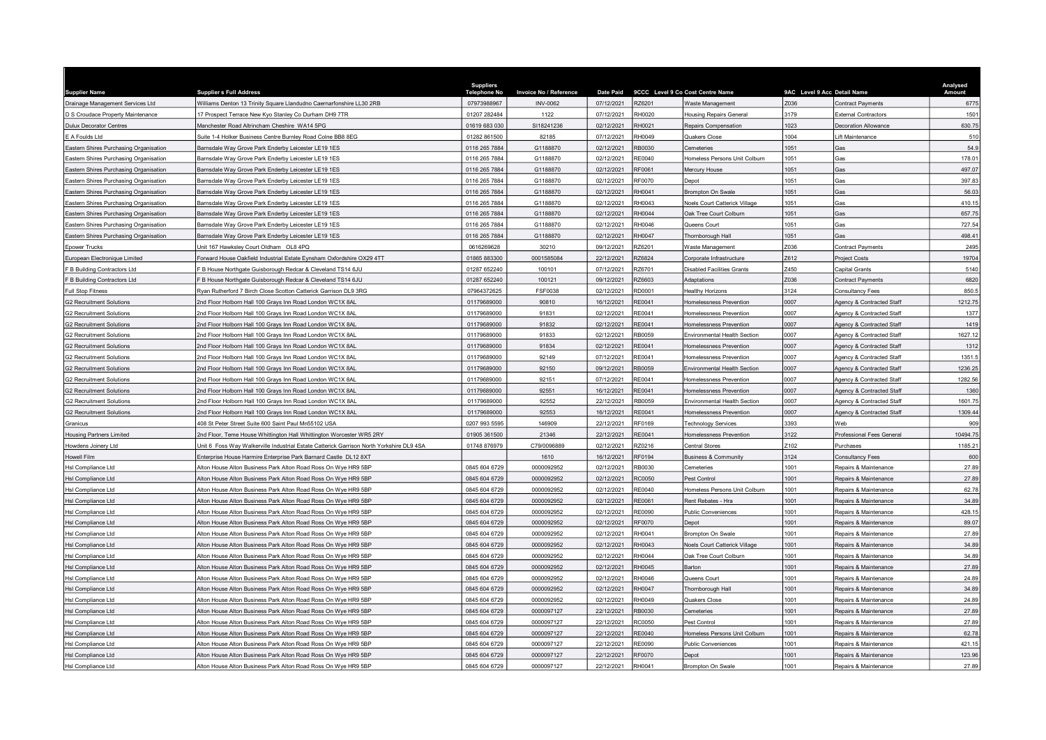| <b>Supplier Name</b>                   | <b>Supplier s Full Address</b>                                                           | <b>Suppliers</b><br><b>Telephone No</b> | <b>Invoice No / Reference</b> | <b>Date Paid</b> |               | 9CCC Level 9 Co Cost Centre Name     | 9AC Level 9 Acc Detail Name |                             | Analysed<br>Amount |
|----------------------------------------|------------------------------------------------------------------------------------------|-----------------------------------------|-------------------------------|------------------|---------------|--------------------------------------|-----------------------------|-----------------------------|--------------------|
| Drainage Management Services Ltd       | Williams Denton 13 Trinity Square Llandudno Caernarfonshire LL30 2RB                     | 07973988967                             | <b>INV-0062</b>               | 07/12/2021       | RZ6201        | Waste Management                     | Z036                        | <b>Contract Payments</b>    | 6775               |
| D S Croudace Property Maintenance      | 17 Prospect Terrace New Kyo Stanley Co Durham DH9 7TR                                    | 01207 282484                            | 1122                          | 07/12/2021       | RH0020        | Housing Repairs General              | 3179                        | <b>External Contractors</b> | 1501               |
| <b>Dulux Decorator Centres</b>         | Manchester Road Altrincham Cheshire WA14 5PG                                             | 01619 683 030                           | SI18241236                    | 02/12/2021       | RH0021        | Repairs Compensation                 | 1023                        | ecoration Allowance         | 630.75             |
| E A Foulds Ltd                         | Suite 1-4 Holker Business Centre Burnley Road Colne BB8 8EG                              | 01282 861500                            | 82185                         | 07/12/2021       | RH0049        | Quakers Close                        | 1004                        | ift Maintenance             | 510                |
| Eastern Shires Purchasing Organisation | Barnsdale Way Grove Park Enderby Leicester LE19 1ES                                      | 0116 265 7884                           | G1188870                      | 02/12/2021       | RB0030        | Cemeteries                           | 1051                        | Gas                         | 54.9               |
| Eastern Shires Purchasing Organisation | Barnsdale Way Grove Park Enderby Leicester LE19 1ES                                      | 0116 265 7884                           | G1188870                      | 02/12/2021       | <b>RE0040</b> | Homeless Persons Unit Colburn        | 051                         | э̀as                        | 178.01             |
| Eastern Shires Purchasing Organisation | Barnsdale Way Grove Park Enderby Leicester LE19 1ES                                      | 0116 265 7884                           | G1188870                      | 02/12/2021       | RF0061        | Mercury House                        | 1051                        | Gas                         | 497.07             |
| Eastern Shires Purchasing Organisation | Barnsdale Way Grove Park Enderby Leicester LE19 1ES                                      | 0116 265 7884                           | G1188870                      | 02/12/2021       | <b>RF0070</b> | Depot                                | 1051                        | Gas                         | 397.83             |
| Eastern Shires Purchasing Organisation | Barnsdale Way Grove Park Enderby Leicester LE19 1ES                                      | 0116 265 7884                           | G1188870                      | 02/12/2021       | RH0041        | Brompton On Swale                    | 1051                        | Gas                         | 56.03              |
| Eastern Shires Purchasing Organisation | Barnsdale Way Grove Park Enderby Leicester LE19 1ES                                      | 0116 265 7884                           | G1188870                      | 02/12/2021       | <b>RH0043</b> | Noels Court Catterick Village        | 1051                        | Gas                         | 410.15             |
| Eastern Shires Purchasing Organisation | Barnsdale Way Grove Park Enderby Leicester LE19 1ES                                      | 0116 265 7884                           | G1188870                      | 02/12/2021       | RH0044        | Oak Tree Court Colburn               | 1051                        | Gas                         | 657.75             |
| Eastern Shires Purchasing Organisation | Barnsdale Way Grove Park Enderby Leicester LE19 1ES                                      | 0116 265 7884                           | G1188870                      | 02/12/2021       | RH0046        | Queens Court                         | 1051                        | Gas                         | 727.54             |
| Eastern Shires Purchasing Organisation | Barnsdale Way Grove Park Enderby Leicester LE19 1ES                                      | 0116 265 7884                           | G1188870                      | 02/12/2021       | RH0047        | Thornborough Hall                    | 1051                        | Gas                         | 498.41             |
| <b>Epower Trucks</b>                   | Jnit 167 Hawkslev Court Oldham OL8 4PQ                                                   | 0616269628                              | 30210                         | 09/12/2021       | RZ6201        | Vaste Management                     | Z036                        | Contract Payments           | 2495               |
| European Electronique Limited          | Forward House Oakfield Industrial Estate Eynsham Oxfordshire OX29 4TT                    | 01865 883300                            | 0001585084                    | 22/12/2021       | RZ6824        | Corporate Infrastructure             | Z612                        | <b>Project Costs</b>        | 19704              |
| F B Building Contractors Ltd           | F B House Northgate Guisborough Redcar & Cleveland TS14 6JU                              | 01287 652240                            | 100101                        | 07/12/2021       | RZ6701        | Disabled Facilities Grants           | Z450                        | <b>Capital Grants</b>       | 5140               |
| F B Building Contractors Ltd           | B House Northgate Guisborough Redcar & Cleveland TS14 6JU                                | 01287 652240                            | 100121                        | 09/12/2021       | RZ6603        | <b>Adaptations</b>                   | Z036                        | <b>Contract Payments</b>    | 6820               |
| <b>Full Stop Fitness</b>               | Ryan Rutherford 7 Birch Close Scotton Catterick Garrison DL9 3RG                         | 07964372625                             | <b>FSF0038</b>                | 02/12/2021       | RD0001        | lealthy Horizons                     | 3124                        | Consultancy Fees            | 850.5              |
| <b>G2 Recruitment Solutions</b>        | 2nd Floor Holborn Hall 100 Grays Inn Road London WC1X 8AL                                | 01179689000                             | 90810                         | 16/12/2021       | <b>RE0041</b> | <b>Iomelessness Preventior</b>       | 0007                        | Agency & Contracted Staff   | 1212.75            |
| <b>G2 Recruitment Solutions</b>        | 2nd Floor Holborn Hall 100 Gravs Inn Road London WC1X 8AL                                | 01179689000                             | 91831                         | 02/12/2021       | RE0041        | <b>Iomelessness Prevention</b>       | 0007                        | Agency & Contracted Staff   | 1377               |
| <b>G2 Recruitment Solutions</b>        | 2nd Floor Holborn Hall 100 Grays Inn Road London WC1X 8AL                                | 01179689000                             | 91832                         | 02/12/2021       | RE0041        | Iomelessness Prevention              | 0007                        | Agency & Contracted Staff   | 1419               |
| <b>G2 Recruitment Solutions</b>        | Ind Floor Holborn Hall 100 Grays Inn Road London WC1X 8AL                                | 01179689000                             | 91833                         | 02/12/2021       | <b>RB0059</b> | invironmental Health Section         | 0007                        | Agency & Contracted Staff   | 1627.12            |
| <b>G2 Recruitment Solutions</b>        | 2nd Floor Holborn Hall 100 Grays Inn Road London WC1X 8AL                                | 01179689000                             | 91834                         | 02/12/2021       | RE0041        | <b>Homelessness Prevention</b>       | 0007                        | Agency & Contracted Staff   | 1312               |
| <b>G2 Recruitment Solutions</b>        | 2nd Floor Holborn Hall 100 Grays Inn Road London WC1X 8AL                                | 01179689000                             | 92149                         | 07/12/2021       | RE0041        | Homelessness Prevention              | 0007                        | Agency & Contracted Staff   | 1351.5             |
| <b>G2 Recruitment Solutions</b>        | 2nd Floor Holborn Hall 100 Grays Inn Road London WC1X 8AL                                | 01179689000                             | 92150                         | 09/12/2021       | RB0059        | <b>Environmental Health Section</b>  | 0007                        | Agency & Contracted Staff   | 1236.25            |
| <b>G2 Recruitment Solutions</b>        | 2nd Floor Holborn Hall 100 Grays Inn Road London WC1X 8AL                                | 01179689000                             | 92151                         | 07/12/2021       | RF0041        | <b>Iomelessness Prevention</b>       | 0007                        | Agency & Contracted Staff   | 1282.56            |
| <b>G2 Recruitment Solutions</b>        | 2nd Floor Holborn Hall 100 Grays Inn Road London WC1X 8AL                                | 01179689000                             | 92551                         | 16/12/2021       | RE0041        | Iomelessness Prevention              | 0007                        | Agency & Contracted Staff   | 1360               |
| <b>G2 Recruitment Solutions</b>        | 2nd Floor Holborn Hall 100 Gravs Inn Road London WC1X 8AL                                | 01179689000                             | 92552                         | 22/12/2021       | RB0059        | Invironmental Health Section         | 0007                        | Agency & Contracted Staff   | 1601.75            |
| <b>G2 Recruitment Solutions</b>        | 2nd Floor Holborn Hall 100 Grays Inn Road London WC1X 8AL                                | 01179689000                             | 92553                         | 16/12/2021       | RE0041        | Homelessness Prevention              | 0007                        | Agency & Contracted Staff   | 1309.44            |
| Granicus                               | 408 St Peter Street Suite 600 Saint Paul Mn55102 USA                                     | 0207 993 5595                           | 146909                        | 22/12/2021       | <b>RE0169</b> | Fechnology Services                  | 1393                        | Veh                         | 909                |
| <b>Housing Partners Limited</b>        | 2nd Floor, Teme House Whittington Hall Whittington Worcester WR5 2RY                     | 01905 361500                            | 21346                         | 22/12/2021       | RE0041        | Homelessness Prevention              | 3122                        | Professional Fees General   | 10494.75           |
| Howdens Joinery I td                   | Unit 6 Foss Way Walkerville Industrial Estate Catterick Garrison North Yorkshire DL9 4SA | 01748 876979                            | C79/0096889                   | 02/12/2021       | RZ0216        | Central Stores                       | Z102                        | Purchases                   | 1185.21            |
| Howell Film                            | Enterprise House Harmire Enterprise Park Barnard Castle DL12 8XT                         |                                         | 1610                          | 16/12/2021       | RF0194        | <b>Business &amp; Community</b>      | 3124                        | Consultancy Fees            | 600                |
| Hsl Compliance Ltd                     | Alton House Alton Business Park Alton Road Ross On Wye HR9 5BP                           | 0845 604 6729                           | 0000092952                    | 02/12/2021       | RB0030        | emeteries                            | 001                         | Repairs & Maintenance       | 27.89              |
| Hsl Compliance Ltd                     | Alton House Alton Business Park Alton Road Ross On Wye HR9 5BP                           | 0845 604 6729                           | 0000092952                    | 02/12/2021       | <b>RC0050</b> | Pest Control                         | 1001                        | Repairs & Maintenance       | 27.89              |
| Hsl Compliance Ltd                     | Alton House Alton Business Park Alton Road Ross On Wye HR9 5BP                           | 0845 604 6729                           | 0000092952                    | 02/12/2021       | RE0040        | Iomeless Persons Unit Colburn        | 1001                        | Repairs & Maintenance       | 62.78              |
| Hsl Compliance Ltd                     | Alton House Alton Business Park Alton Road Ross On Wye HR9 5BP                           | 0845 604 6729                           | 0000092952                    | 02/12/2021       | RE0061        | Rent Rebates - Hra                   | 1001                        | Repairs & Maintenance       | 34.89              |
| Hsl Compliance Ltd                     | Alton House Alton Business Park Alton Road Ross On Wye HR9 5BP                           | 0845 604 6729                           | 0000092952                    | 02/12/2021       | <b>RE0090</b> | ublic Conveniences                   | 001                         | Repairs & Maintenance       | 428.1              |
| Hsl Compliance Ltd                     | Alton House Alton Business Park Alton Road Ross On Wye HR9 5BP                           | 0845 604 6729                           | 0000092952                    | 02/12/2021       | RF0070        | Depot                                | 1001                        | Repairs & Maintenance       | 89.07              |
| Hsl Compliance Ltd                     | Alton House Alton Business Park Alton Road Ross On Wye HR9 5BP                           | 0845 604 6729                           | 0000092952                    | 02/12/2021       | RH0041        | Brompton On Swale                    | 1001                        | Repairs & Maintenance       | 27.89              |
| Hsl Compliance Ltd                     | Alton House Alton Business Park Alton Road Ross On Wye HR9 5BP                           | 0845 604 6729                           | 0000092952                    | 02/12/2021       | RH0043        | <b>Joels Court Catterick Village</b> | 1001                        | Repairs & Maintenance       | 34.89              |
| Hsl Compliance Ltd                     | Alton House Alton Business Park Alton Road Ross On Wye HR9 5BP                           | 0845 604 6729                           | 0000092952                    | 02/12/2021       | RH0044        | Oak Tree Court Colburn               | 1001                        | Repairs & Maintenance       | 34.89              |
| Hsl Compliance Ltd                     | Alton House Alton Business Park Alton Road Ross On Wye HR9 5BP                           | 0845 604 6729                           | 0000092952                    | 02/12/2021       | RH0045        | Barton                               | 1001                        | Repairs & Maintenance       | 27.89              |
| Hsl Compliance Ltd                     | Alton House Alton Business Park Alton Road Ross On Wye HR9 5BP                           | 0845 604 6729                           | 0000092952                    | 02/12/2021       | RH0046        | Queens Court                         | 1001                        | Repairs & Maintenance       | 24.89              |
| Hsl Compliance Ltd                     | Alton House Alton Business Park Alton Road Ross On Wye HR9 5BP                           | 0845 604 6729                           | 0000092952                    | 02/12/2021       | RH0047        | Thornborough Hall                    | 1001                        | Repairs & Maintenance       | 34.89              |
| <b>HsI Compliance Ltd</b>              | Alton House Alton Business Park Alton Road Ross On Wye HR9 5BP                           | 0845 604 6729                           | 0000092952                    | 02/12/2021       | RH0049        | Quakers Close                        | 1001                        | Repairs & Maintenance       | 24.89              |
| Hsl Compliance Ltd                     | Alton House Alton Business Park Alton Road Ross On Wye HR9 5BP                           | 0845 604 6729                           | 0000097127                    | 22/12/2021       | RB0030        | <b>Cemeteries</b>                    | 1001                        | Repairs & Maintenance       | 27.89              |
| Hsl Compliance Ltd                     | Alton House Alton Business Park Alton Road Ross On Wye HR9 5BP                           | 0845 604 6729                           | 0000097127                    | 22/12/2021       | RC0050        | Pest Control                         | 1001                        | Repairs & Maintenance       | 27.89              |
| Hsl Compliance Ltd                     | Alton House Alton Business Park Alton Road Ross On Wye HR9 5BP                           | 0845 604 6729                           | 0000097127                    | 22/12/2021       | RE0040        | Iomeless Persons Unit Colburn        | 1001                        | Repairs & Maintenance       | 62.78              |
| Hsl Compliance Ltd                     | Alton House Alton Business Park Alton Road Ross On Wye HR9 5BP                           | 0845 604 6729                           | 0000097127                    | 22/12/2021       | <b>RE0090</b> | ublic Conveniences                   | 1001                        | Repairs & Maintenance       | 421.15             |
| Hsl Compliance Ltd                     | Alton House Alton Business Park Alton Road Ross On Wye HR9 5BP                           | 0845 604 6729                           | 0000097127                    | 22/12/2021       | <b>RF0070</b> | Depot                                | 1001                        | Repairs & Maintenance       | 123.96             |
| Hsl Compliance Ltd                     | Alton House Alton Business Park Alton Road Ross On Wye HR9 5BP                           | 0845 604 6729                           | 0000097127                    | 22/12/2021       | RH0041        | Brompton On Swale                    | 1001                        | Repairs & Maintenance       | 27.89              |
|                                        |                                                                                          |                                         |                               |                  |               |                                      |                             |                             |                    |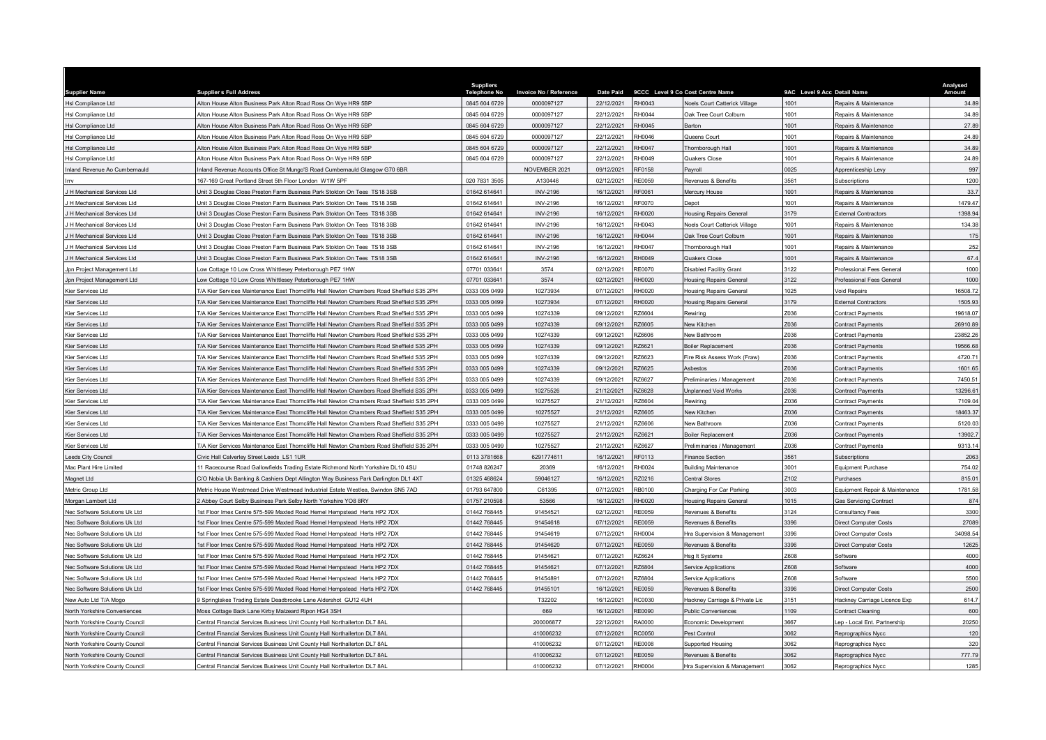| <b>Supplier Name</b>                                           | <b>Supplier s Full Address</b>                                                             | <b>Suppliers</b><br><b>Telephone No</b> | <b>Invoice No / Reference</b> | <b>Date Paid</b> |                         | 9CCC Level 9 Co Cost Centre Name            | 9AC Level 9 Acc Detail Name |                                   | Analysed<br>Amount |
|----------------------------------------------------------------|--------------------------------------------------------------------------------------------|-----------------------------------------|-------------------------------|------------------|-------------------------|---------------------------------------------|-----------------------------|-----------------------------------|--------------------|
| Hsl Compliance Ltd                                             | Alton House Alton Business Park Alton Road Ross On Wye HR9 5BP                             | 0845 604 6729                           | 0000097127                    | 22/12/2021       | RH0043                  | <b>Noels Court Catterick Village</b>        | 1001                        | Repairs & Maintenance             | 34.89              |
| Hsl Compliance Ltd                                             | Alton House Alton Business Park Alton Road Ross On Wye HR9 5BP                             | 0845 604 6729                           | 0000097127                    | 22/12/2021       | <b>RH0044</b>           | Oak Tree Court Colburn                      | 1001                        | Repairs & Maintenance             | 34.89              |
| Hsl Compliance Ltd                                             | Alton House Alton Business Park Alton Road Ross On Wye HR9 5BP                             | 0845 604 6729                           | 0000097127                    | 22/12/2021       | RH0045                  | <b>Barton</b>                               | 1001                        | Repairs & Maintenance             | 27.89              |
| Hsl Compliance Ltd                                             | Alton House Alton Business Park Alton Road Ross On Wye HR9 5BP                             | 0845 604 6729                           | 0000097127                    | 22/12/2021       | RH0046                  | Queens Court                                | 1001                        | Repairs & Maintenance             | 24.89              |
| Hsl Compliance Ltd                                             | Alton House Alton Business Park Alton Road Ross On Wye HR9 5BP                             | 0845 604 6729                           | 0000097127                    | 22/12/2021       | RH0047                  | Thornborough Hall                           | 1001                        | Repairs & Maintenance             | 34.89              |
| Isl Compliance Ltd                                             | Alton House Alton Business Park Alton Road Ross On Wye HR9 5BP                             | 0845 604 6729                           | 0000097127                    | 22/12/2021       | RH0049                  | Quakers Close                               | 1001                        | Repairs & Maintenance             | 24.89              |
| nland Revenue Ao Cumbernauld                                   | Inland Revenue Accounts Office St Mungo'S Road Cumbernauld Glasgow G70 6BR                 |                                         | NOVEMBER 2021                 | 09/12/2021       | <b>RF0158</b>           | Payroll                                     | 0025                        | Apprenticeship Levy               | 997                |
|                                                                | 167-169 Great Portland Street 5th Floor London W1W 5PF                                     | 020 7831 3505                           | A130446                       | 02/12/2021       | RE0059                  | Revenues & Benefits                         | 3561                        | Subscriptions                     | 1200               |
| H Mechanical Services Ltd                                      | Unit 3 Douglas Close Preston Farm Business Park Stokton On Tees TS18 3SB                   | 01642 614641                            | <b>INV-2196</b>               | 16/12/2021       | RF0061                  | Mercury House                               | 1001                        | Repairs & Maintenance             | 33.7               |
| H Mechanical Services Ltd                                      | Unit 3 Douglas Close Preston Farm Business Park Stokton On Tees TS18 3SB                   | 01642 614641                            | <b>INV-2196</b>               | 16/12/2021       | RF0070                  | Depot                                       | 1001                        | Repairs & Maintenance             | 1479.47            |
| H Mechanical Services Ltd                                      | Unit 3 Douglas Close Preston Farm Business Park Stokton On Tees TS18 3SB                   | 01642 614641                            | <b>INV-2196</b>               | 16/12/2021       | RH0020                  | lousing Repairs General                     | 3179                        | <b>External Contractors</b>       | 1398.94            |
| H Mechanical Services Ltd                                      | Unit 3 Douglas Close Preston Farm Business Park Stokton On Tees TS18 3SB                   | 01642 614641                            | <b>INV-2196</b>               | 16/12/2021       | RH0043                  | Noels Court Catterick Village               | 1001                        | Repairs & Maintenance             | 134.38             |
| H Mechanical Services Ltd                                      | Unit 3 Douglas Close Preston Farm Business Park Stokton On Tees TS18 3SB                   | 01642 614641                            | <b>INV-2196</b>               | 16/12/2021       | RH0044                  | Oak Tree Court Colburn                      | 1001                        | Repairs & Maintenance             | 175                |
| H Mechanical Services Ltd                                      | Jnit 3 Douglas Close Preston Farm Business Park Stokton On Tees TS18 3SB                   | 01642 614641                            | <b>INV-2196</b>               | 16/12/2021       | <b>RH0047</b>           | Thornborough Hall                           | 1001                        | Repairs & Maintenance             | 252                |
| H Mechanical Services Ltd                                      | Unit 3 Douglas Close Preston Farm Business Park Stokton On Tees TS18 3SB                   | 01642 614641                            | <b>INV-2196</b>               | 16/12/2021       | RH0049                  | Quakers Close                               | 1001                        | Repairs & Maintenance             | 67.4               |
| Jpn Project Management Ltd                                     | Low Cottage 10 Low Cross Whittlesey Peterborough PE7 1HW                                   | 07701 033641                            | 3574                          | 02/12/2021       | <b>RE0070</b>           | Disabled Facility Grant                     | 3122                        | Professional Fees General         | 1000               |
| Jpn Project Management Ltd                                     | ow Cottage 10 Low Cross Whittlesey Peterborough PE7 1HW                                    | 07701 033641                            | 3574                          | 02/12/2021       | RH0020                  | Housing Repairs General                     | 3122                        | Professional Fees General         | 1000               |
| Kier Services Ltd                                              | T/A Kier Services Maintenance East Thorncliffe Hall Newton Chambers Road Sheffield S35 2PH | 0333 005 0499                           | 10273934                      | 07/12/2021       | RH0020                  | Housing Repairs General                     | 1025                        | Void Repairs                      | 16508.72           |
| Kier Services Ltd                                              | T/A Kier Services Maintenance East Thorncliffe Hall Newton Chambers Road Sheffield S35 2PH | 0333 005 0499                           | 10273934                      | 07/12/2021       | RH0020                  | <b>Housing Repairs General</b>              | 3179                        | External Contractors              | 1505.93            |
| Kier Services I td                                             | T/A Kier Services Maintenance East Thorncliffe Hall Newton Chambers Road Sheffield S35 2PH | 0333 005 0499                           | 10274339                      | 09/12/2021       | RZ6604                  | Rewiring                                    | Z036                        | <b>Contract Payments</b>          | 19618.07           |
| Kier Services Ltd                                              | T/A Kier Services Maintenance East Thorncliffe Hall Newton Chambers Road Sheffield S35 2PH | 0333 005 0499                           | 10274339                      | 09/12/2021       | RZ6605                  | <b>Vew Kitchen</b>                          | Z036                        | Contract Payments                 | 26910.89           |
| <b>Kier Services Ltd</b>                                       | T/A Kier Services Maintenance East Thorncliffe Hall Newton Chambers Road Sheffield S35 2PH | 0333 005 0499                           | 10274339                      | 09/12/2021       | RZ6606                  | <b>Vew Bathroom</b>                         | 2036                        | <b>Contract Payments</b>          | 23852.26           |
| Kier Services Ltd                                              | T/A Kier Services Maintenance East Thorncliffe Hall Newton Chambers Road Sheffield S35 2PH | 0333 005 0499                           | 10274339                      | 09/12/2021       | RZ6621                  | <b>Boiler Replacement</b>                   | Z036                        | Contract Payments                 | 19566.68           |
| Kier Services Ltd                                              | T/A Kier Services Maintenance East Thorncliffe Hall Newton Chambers Road Sheffield S35 2PH | 0333 005 0499                           | 10274339                      | 09/12/2021       | RZ6623                  | Fire Risk Assess Work (Fraw)                | Z036                        | Contract Payments                 | 4720.71            |
| Kier Services Ltd                                              | T/A Kier Services Maintenance East Thorncliffe Hall Newton Chambers Road Sheffield S35 2PH | 0333 005 0499                           | 10274339                      | 09/12/2021       | RZ6625                  | Asbestos                                    | Z036                        | <b>Contract Payments</b>          | 1601.65            |
| Kier Services Ltd                                              | T/A Kier Services Maintenance East Thorncliffe Hall Newton Chambers Road Sheffield S35 2PH | 0333 005 0499                           | 10274339                      | 09/12/2021       | RZ6627                  | Preliminaries / Management                  | Z036                        | Contract Payments                 | 7450.51            |
| Kier Services Ltd                                              | T/A Kier Services Maintenance East Thorncliffe Hall Newton Chambers Road Sheffield S35 2PH | 0333 005 0499                           | 10275526                      | 21/12/2021       | RZ6628                  | <b>Jnplanned Void Works</b>                 | Z036                        | Contract Payments                 | 13296.61           |
| Kier Services Ltd                                              | T/A Kier Services Maintenance East Thorncliffe Hall Newton Chambers Road Sheffield S35 2PH | 0333 005 0499                           | 10275527                      | 21/12/2021       | RZ6604                  | Rewiring                                    | Z036                        | Contract Payments                 | 7109.04            |
| Kier Services Ltd                                              | T/A Kier Services Maintenance East Thorncliffe Hall Newton Chambers Road Sheffield S35 2PH | 0333 005 0499                           | 10275527                      | 21/12/2021       | RZ6605                  | New Kitchen                                 | Z036                        | Contract Payments                 | 18463.37           |
| Kier Services I td                                             | T/A Kier Services Maintenance East Thorncliffe Hall Newton Chambers Road Sheffield S35 2PH | 0333 005 0499                           | 10275527                      | 21/12/2021       | RZ6606                  | New Bathroom                                | Z036                        | Contract Payments                 | 5120.03            |
| Kier Services Ltd                                              | T/A Kier Services Maintenance East Thorncliffe Hall Newton Chambers Road Sheffield S35 2PH | 0333 005 0499                           | 10275527                      | 21/12/2021       | RZ6621                  | <b>Boiler Replacement</b>                   | Z036                        | Contract Payments                 | 13902.7            |
| Kier Services Ltd                                              | T/A Kier Services Maintenance East Thorncliffe Hall Newton Chambers Road Sheffield S35 2PH | 0333 005 0499                           | 10275527                      | 21/12/2021       | R76627                  | Preliminaries / Management                  | 7036                        | Contract Payments                 | 9313.14            |
| eeds City Council                                              | Civic Hall Calverley Street Leeds LS1 1UR                                                  | 0113 3781668                            | 6291774611                    | 16/12/2021       | RF0113                  | inance Section                              | 3561                        | Subscriptions                     | 2063               |
| Mac Plant Hire Limited                                         | 11 Racecourse Road Gallowfields Trading Estate Richmond North Yorkshire DL10 4SU           | 01748 826247                            | 20369                         | 16/12/2021       | RH0024                  | <b>Building Maintenance</b>                 | 3001                        | Equipment Purchase                | 754.02             |
| Magnet Ltd                                                     | C/O Nobia Uk Banking & Cashiers Dept Allington Way Business Park Darlington DL1 4XT        | 01325 468624                            | 59046127                      | 16/12/2021       | RZ0216                  | entral Stores                               | Z102                        | <b>Purchases</b>                  | 815.01             |
| Metric Group Ltd                                               | Metric House Westmead Drive Westmead Industrial Estate Westlea, Swindon SN5 7AD            | 01793 647800                            | C61395                        | 07/12/2021       | RB0100                  | Charging For Car Parking                    | 3003                        | Equipment Repair & Maintenance    | 1781.58            |
| Morgan Lambert Ltd                                             | 2 Abbey Court Selby Business Park Selby North Yorkshire YO8 8RY                            | 01757 210598                            | 53566                         | 16/12/2021       | RH0020                  | lousing Repairs General                     | 1015                        | Gas Servicing Contract            | 874                |
| <b>Vec Software Solutions Uk Ltd</b>                           | 1st Floor Imex Centre 575-599 Maxted Road Hemel Hempstead Herts HP2 7DX                    | 01442 768445                            | 91454521                      | 02/12/2021       | RF0059                  | Revenues & Benefits                         | 3124                        | Consultancy Fees                  | 3300               |
| Nec Software Solutions Uk Ltd                                  | 1st Floor Imex Centre 575-599 Maxted Road Hemel Hempstead Herts HP2 7DX                    | 01442 768445                            | 91454618                      | 07/12/2021       | <b>RE0059</b>           | Revenues & Benefits                         | 3396                        | Direct Computer Costs             | 27089              |
| Nec Software Solutions Uk Ltd                                  | 1st Floor Imex Centre 575-599 Maxted Road Hemel Hempstead Herts HP2 7DX                    | 01442 768445                            | 91454619                      | 07/12/2021       | RH0004                  | Hra Supervision & Management                | 3396                        | Direct Computer Costs             | 34098.54           |
| Nec Software Solutions Uk Ltd                                  | 1st Floor Imex Centre 575-599 Maxted Road Hemel Hempstead Herts HP2 7DX                    | 01442 768445                            | 91454620                      | 07/12/2021       | RE0059                  | Revenues & Benefits                         | 3396                        |                                   | 12625              |
| Nec Software Solutions Uk Ltd                                  | 1st Floor Imex Centre 575-599 Maxted Road Hemel Hempstead Herts HP2 7DX                    | 01442 768445                            | 91454621                      | 07/12/2021       | R76624                  | Hsg It Systems                              | 7608                        | Direct Computer Costs<br>Software | 4000               |
| Nec Software Solutions Uk Ltd                                  | 1st Floor Imex Centre 575-599 Maxted Road Hemel Hempstead Herts HP2 7DX                    | 01442 768445                            | 91454621                      | 07/12/2021       | RZ6804                  | Service Applications                        | Z608                        | Software                          | 4000               |
|                                                                | 1st Floor Imex Centre 575-599 Maxted Road Hemel Hempstead Herts HP2 7DX                    | 01442 768445                            | 91454891                      | 07/12/2021       | RZ6804                  |                                             | Z608                        | Software                          | 5500               |
| Nec Software Solutions Uk Ltd<br>Nec Software Solutions Uk Ltd | 1st Floor Imex Centre 575-599 Maxted Road Hemel Hempstead Herts HP2 7DX                    | 01442 768445                            | 91455101                      | 16/12/2021       | RE0059                  | Service Applications<br>Revenues & Benefits | 3396                        | <b>Direct Computer Costs</b>      | 2500               |
| <b>New Auto Ltd T/A Mogo</b>                                   |                                                                                            |                                         |                               | 16/12/2021       | RC0030                  |                                             | 3151                        |                                   | 614.7              |
|                                                                | 9 Springlakes Trading Estate Deadbrooke Lane Aldershot GU12 4UH                            |                                         | T32202                        |                  |                         | Hackney Carriage & Private Lic              |                             | Hackney Carriage Licence Exp      |                    |
| North Yorkshire Conveniences                                   | Moss Cottage Back Lane Kirby Malzeard Ripon HG4 3SH                                        |                                         | 669                           | 16/12/2021       | <b>RE0090</b><br>RA0000 | <b>Public Conveniences</b>                  | 1109                        | Contract Cleaning                 | 600<br>20250       |
| North Yorkshire County Council                                 | Central Financial Services Business Unit County Hall Northallerton DL7 8AL                 |                                         | 200006877                     | 22/12/2021       |                         | Economic Development                        | 3667                        | Lep - Local Ent. Partnership      |                    |
| North Yorkshire County Council                                 | Central Financial Services Business Unit County Hall Northallerton DL7 8AL                 |                                         | 410006232                     | 07/12/2021       | RC0050                  | Pest Control                                | 3062                        | Reprographics Nycc                | 120                |
| North Yorkshire County Council                                 | Central Financial Services Business Unit County Hall Northallerton DL7 8AL                 |                                         | 410006232                     | 07/12/2021       | <b>RE0008</b>           | <b>Supported Housing</b>                    | 3062                        | Reprographics Nycc                | 320                |
| North Yorkshire County Council                                 | Central Financial Services Business Unit County Hall Northallerton DL7 8AL                 |                                         | 410006232                     | 07/12/2021       | <b>RE0059</b>           | Revenues & Benefits                         | 3062                        | Reprographics Nycc                | 777.79             |
| North Yorkshire County Council                                 | Central Financial Services Business Unit County Hall Northallerton DL7 8AL                 |                                         | 410006232                     | 07/12/2021       | <b>RH0004</b>           | Hra Supervision & Management                | 3062                        | Reprographics Nycc                | 1285               |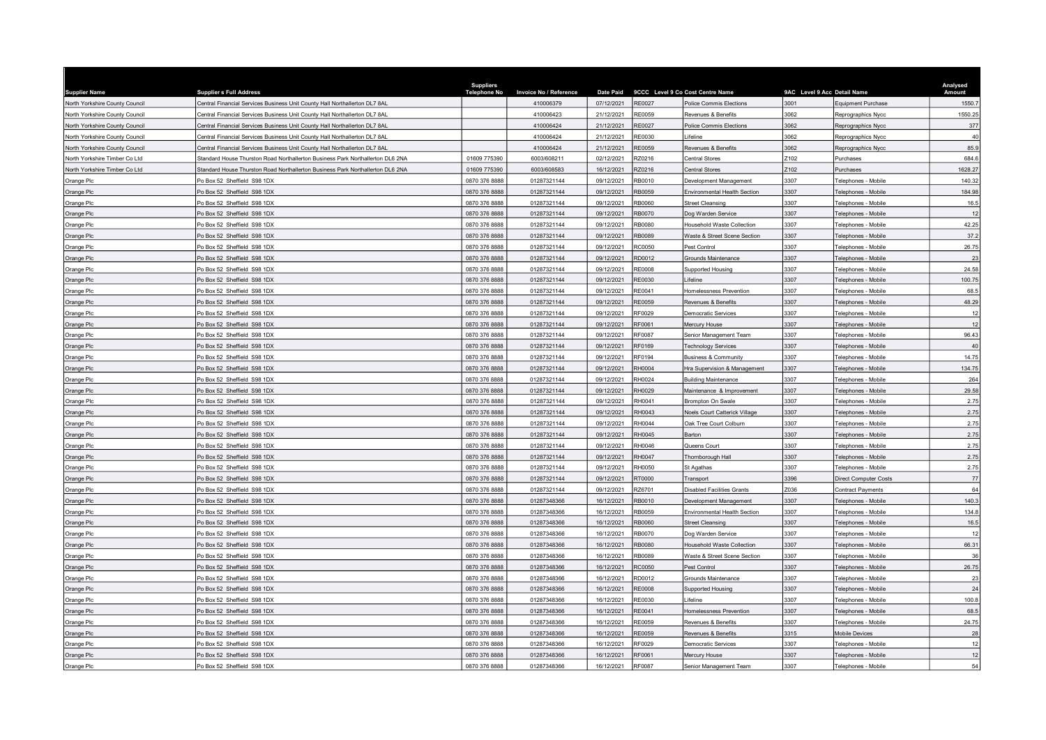| <b>Supplier Name</b>           | <b>Supplier s Full Address</b>                                                 | <b>Suppliers</b><br><b>Telephone No</b> | <b>Invoice No / Reference</b> | <b>Date Paid</b> |               | 9CCC Level 9 Co Cost Centre Name  | 9AC Level 9 Acc Detail Name |                            | Analysed<br>Amount |
|--------------------------------|--------------------------------------------------------------------------------|-----------------------------------------|-------------------------------|------------------|---------------|-----------------------------------|-----------------------------|----------------------------|--------------------|
| North Yorkshire County Council | Central Financial Services Business Unit County Hall Northallerton DL7 8AL     |                                         | 410006379                     | 07/12/2021       | <b>RE0027</b> | Police Commis Elections           | 3001                        | Equipment Purchase         | 1550.7             |
| North Yorkshire County Council | Central Financial Services Business Unit County Hall Northallerton DL7 8AL     |                                         | 410006423                     | 21/12/2021       | <b>RE0059</b> | Revenues & Benefits               | 3062                        | Reprographics Nycc         | 1550.25            |
| North Yorkshire County Council | Central Financial Services Business Unit County Hall Northallerton DL7 8AL     |                                         | 410006424                     | 21/12/2021       | <b>RE0027</b> | Police Commis Elections           | 3062                        | Reprographics Nycc         | 377                |
| North Yorkshire County Council | Central Financial Services Business Unit County Hall Northallerton DL7 8AL     |                                         | 410006424                     | 21/12/2021       | RE0030        | <i>ifeline</i>                    | 3062                        | Reprographics Nycc         | 40                 |
| North Yorkshire County Council | Central Financial Services Business Unit County Hall Northallerton DL7 8AL     |                                         | 410006424                     | 21/12/2021       | RE0059        | Revenues & Benefits               | 3062                        | Reprographics Nycc         | 85.9               |
| North Yorkshire Timber Co Ltd  | Standard House Thurston Road Northallerton Business Park Northallerton DL6 2NA | 01609 775390                            | 6003/608211                   | 02/12/2021       | RZ0216        | Central Stores                    | Z102                        | Purchases                  | 684.6              |
| North Yorkshire Timber Co Ltd  | Standard House Thurston Road Northallerton Business Park Northallerton DL6 2NA | 01609 775390                            | 6003/608583                   | 16/12/2021       | RZ0216        | Central Stores                    | Z102                        | Purchases                  | 1628.27            |
| Orange Plc                     | Po Box 52 Sheffield S98 1DX                                                    | 0870 376 8888                           | 01287321144                   | 09/12/2021       | RB0010        | Development Management            | 3307                        | Felephones - Mobile        | 140.32             |
| Orange Plc                     | O Box 52 Sheffield S98 1DX                                                     | 0870 376 8888                           | 01287321144                   | 09/12/2021       | RB0059        | Invironmental Health Section      | 3307                        | elephones - Mobile         | 184.98             |
| Orange Plc                     | Po Box 52 Sheffield S98 1DX                                                    | 0870 376 8888                           | 01287321144                   | 09/12/2021       | RB0060        | <b>Street Cleansing</b>           | 3307                        | elephones - Mobile         | 16.5               |
| Orange Plc                     | Po Box 52 Sheffield S98 1DX                                                    | 0870 376 8888                           | 01287321144                   | 09/12/2021       | RB0070        | Dog Warden Service                | 3307                        | elephones - Mobile         | 12                 |
| Orange Plc                     | Po Box 52 Sheffield S98 1DX                                                    | 0870 376 8888                           | 01287321144                   | 09/12/2021       | RB0080        | <b>Household Waste Collection</b> | 3307                        | elephones - Mobile         | 42.25              |
| Orange Plc                     | Po Box 52 Sheffield S98 1DX                                                    | 0870 376 8888                           | 01287321144                   | 09/12/2021       | RB0089        | Waste & Street Scene Section      | 3307                        | elephones - Mobile         | 37.2               |
| Orange Plc                     | Po Box 52 Sheffield S98 1DX                                                    | 0870 376 8888                           | 01287321144                   | 09/12/2021       | <b>RC0050</b> | est Control                       | 3307                        | elephones - Mobile         | 26.75              |
| Orange Plc                     | Po Box 52 Sheffield S98 1DX                                                    | 0870 376 8888                           | 01287321144                   | 09/12/2021       | RD0012        | Grounds Maintenance               | 3307                        | elephones - Mobile         | 23                 |
| Orange Plc                     | Po Box 52 Sheffield S98 1DX                                                    | 0870 376 8888                           | 01287321144                   | 09/12/2021       | <b>RE0008</b> | Supported Housing                 | 3307                        | elephones - Mobile         | 24.58              |
| Orange Plc                     | Po Box 52 Sheffield S98 1DX                                                    | 0870 376 8888                           | 01287321144                   | 09/12/2021       | RE0030        | ifeline                           | 3307                        | elephones - Mobile         | 100.75             |
| Orange Plc                     | Po Box 52 Sheffield S98 1DX                                                    | 0870 376 8888                           | 01287321144                   | 09/12/2021       | RE0041        | <b>Iomelessness Prevention</b>    | 3307                        | elephones - Mobile         | 68.5               |
| Orange Plc                     | Po Box 52 Sheffield S98 1DX                                                    | 0870 376 8888                           | 01287321144                   | 09/12/2021       | <b>RE0059</b> | Revenues & Benefits               | 3307                        | elephones - Mobile         | 48.29              |
| Orange Plc                     | Po Box 52 Sheffield S98 1DX                                                    | 0870 376 8888                           | 01287321144                   | 09/12/2021       | RF0029        | <b>Democratic Services</b>        | 3307                        | elephones - Mobile         | 12                 |
| Orange Plc                     | Po Box 52 Sheffield S98 1DX                                                    | 0870 376 8888                           | 01287321144                   | 09/12/2021       | RF0061        | Mercury House                     | 3307                        | elephones - Mobile         | 12                 |
| Orange Plc                     | O Box 52 Sheffield S98 1DX                                                     | 0870 376 8888                           | 01287321144                   | 09/12/2021       | RF0087        | Senior Management Team            | 3307                        | elephones - Mobile         | 96.43              |
| Orange Plc                     | Po Box 52 Sheffield S98 1DX                                                    | 0870 376 8888                           | 01287321144                   | 09/12/2021       | <b>RF0169</b> | <b>Technology Services</b>        | 3307                        | elephones - Mobile         | 40                 |
| Orange Plc                     | Po Box 52 Sheffield S98 1DX                                                    | 0870 376 8888                           | 01287321144                   | 09/12/2021       | RF0194        | Business & Community              | 3307                        | elephones - Mobile         | 14.75              |
| Orange Plc                     | O Box 52 Sheffield S98 1DX                                                     | 0870 376 8888                           | 01287321144                   | 09/12/2021       | RH0004        | Ira Supervision & Management      | 3307                        | elephones - Mobile         | 134.75             |
| Orange Plc                     | Po Box 52 Sheffield S98 1DX                                                    | 0870 376 8888                           | 01287321144                   | 09/12/2021       | RH0024        | <b>Building Maintenance</b>       | 3307                        | elephones - Mobile         | 264                |
| Orange Plc                     | Po Box 52 Sheffield S98 1DX                                                    | 0870 376 8888                           | 01287321144                   | 09/12/2021       | RH0029        | Maintenance & Improvement         | 3307                        | elephones - Mobile         | 29.58              |
| Orange Plc                     | Po Box 52 Sheffield S98 1DX                                                    | 0870 376 8888                           | 01287321144                   | 09/12/2021       | RH0041        | Brompton On Swale                 | 3307                        | elephones - Mobile         | 2.75               |
| Orange Plc                     | Po Box 52 Sheffield S98 1DX                                                    | 0870 376 8888                           | 01287321144                   | 09/12/2021       | RH0043        | Noels Court Catterick Village     | 3307                        | elephones - Mobile         | 2.75               |
| Orange Plc                     | Po Box 52 Sheffield S98 1DX                                                    | 0870 376 8888                           | 01287321144                   | 09/12/2021       | RH0044        | Oak Tree Court Colburn            | 3307                        | elephones - Mobile         | 2.75               |
| Orange Plc                     | Po Box 52 Sheffield S98 1DX                                                    | 0870 376 8888                           | 01287321144                   | 09/12/2021       | RH0045        | Barton                            | 3307                        | elephones - Mobile         | 2.75               |
| Orange Plc                     | Po Box 52 Sheffield S98 1DX                                                    | 0870 376 8888                           | 01287321144                   | 09/12/2021       | RH0046        | Queens Court                      | 3307                        | elephones - Mobile         | 2.75               |
| Orange Plc                     | Po Box 52 Sheffield S98 1DX                                                    | 0870 376 8888                           | 01287321144                   | 09/12/2021       | <b>RH0047</b> | Thornborough Hall                 | 3307                        | elephones - Mobile         | 2.75               |
| Orange Plc                     | Po Box 52 Sheffield S98 1DX                                                    | 0870 376 8888                           | 01287321144                   | 09/12/2021       | RH0050        | St Agathas                        | 3307                        | elephones - Mobile         | 2.75               |
| Orange Plc                     | Po Box 52 Sheffield S98 1DX                                                    | 0870 376 8888                           | 01287321144                   | 09/12/2021       | RT0000        | Transport                         | 3396                        | Direct Computer Costs      | 77                 |
| Orange Plc                     | Po Box 52 Sheffield S98 1DX                                                    | 0870 376 8888                           | 01287321144                   | 09/12/2021       | RZ6701        | Disabled Facilities Grants        | Z036                        | Contract Payments          | 64                 |
| Orange Plc                     | Po Box 52 Sheffield S98 1DX                                                    | 0870 376 8888                           | 01287348366                   | 16/12/2021       | RB0010        | Development Management            | 3307                        | Felephones - Mobile        | 140.3              |
| Orange Plc                     | Po Box 52 Sheffield S98 1DX                                                    | 0870 376 8888                           | 01287348366                   | 16/12/2021       | <b>RB0059</b> | nvironmental Health Section       | 3307                        | elephones - Mobile         | 134.8              |
| Orange Plc                     | Po Box 52 Sheffield S98 1DX                                                    | 0870 376 8888                           | 01287348366                   | 16/12/2021       | RB0060        | Street Cleansing                  | 3307                        | <b>Felephones - Mobile</b> | 16.5               |
| Orange Plc                     | Po Box 52 Sheffield S98 1DX                                                    | 0870 376 8888                           | 01287348366                   | 16/12/2021       | RB0070        | Dog Warden Service                | 3307                        | Felephones - Mobile        | 12                 |
| Orange Plc                     | Po Box 52 Sheffield S98 1DX                                                    | 0870 376 8888                           | 01287348366                   | 16/12/2021       | <b>RB0080</b> | lousehold Waste Collection        | 3307                        | elephones - Mobile         | 66.31              |
| Orange Plc                     | Po Box 52 Sheffield S98 1DX                                                    | 0870 376 8888                           | 01287348366                   | 16/12/2021       | RB0089        | Waste & Street Scene Section      | 3307                        | Felephones - Mobile        | 36                 |
| Orange Plc                     | Po Box 52 Sheffield S98 1DX                                                    | 0870 376 8888                           | 01287348366                   | 16/12/2021       | RC0050        | Pest Control                      | 3307                        | elephones - Mobile         | 26.75              |
| Orange Plc                     | Po Box 52 Sheffield S98 1DX                                                    | 0870 376 8888                           | 01287348366                   | 16/12/2021       | RD0012        | <b>Grounds Maintenance</b>        | 3307                        | Felephones - Mobile        | 23                 |
| Orange Plc                     | Po Box 52 Sheffield S98 1DX                                                    | 0870 376 8888                           | 01287348366                   | 16/12/2021       | <b>RE0008</b> | Supported Housing                 | 3307                        | elephones - Mobile         | 24                 |
| Orange Plc                     | Po Box 52 Sheffield S98 1DX                                                    | 0870 376 8888                           | 01287348366                   | 16/12/2021       | RE0030        | ifeline                           | 3307                        | elephones - Mobile         | 100.8              |
| Orange Plc                     | Po Box 52 Sheffield S98 1DX                                                    | 0870 376 8888                           | 01287348366                   | 16/12/2021       | <b>RE0041</b> | Homelessness Prevention           | 3307                        | elephones - Mobile         | 68.5               |
| Orange Plc                     | Po Box 52 Sheffield S98 1DX                                                    | 0870 376 8888                           | 01287348366                   | 16/12/2021       | <b>RE0059</b> | Revenues & Benefits               | 3307                        | elephones - Mobile         | 24.75              |
| Orange Plc                     | O Box 52 Sheffield S98 1DX                                                     | 0870 376 8888                           | 01287348366                   | 16/12/2021       | <b>RE0059</b> | Revenues & Benefits               | 3315                        | Mobile Devices             | 28                 |
| Orange Plc                     | Po Box 52 Sheffield S98 1DX                                                    | 0870 376 8888                           | 01287348366                   | 16/12/2021       | RF0029        | Democratic Services               | 3307                        | elephones - Mobil          | 12                 |
| Orange Plc                     | Po Box 52 Sheffield S98 1DX                                                    | 0870 376 8888                           | 01287348366                   | 16/12/2021       | RF0061        | Mercury House                     | 3307                        | Felephones - Mobile        | 12                 |
| Orange Plc                     | Po Box 52 Sheffield S98 1DX                                                    | 0870 376 8888                           | 01287348366                   | 16/12/2021       | <b>RF0087</b> | Senior Management Team            | 3307                        | Telephones - Mobile        | 54                 |
|                                |                                                                                |                                         |                               |                  |               |                                   |                             |                            |                    |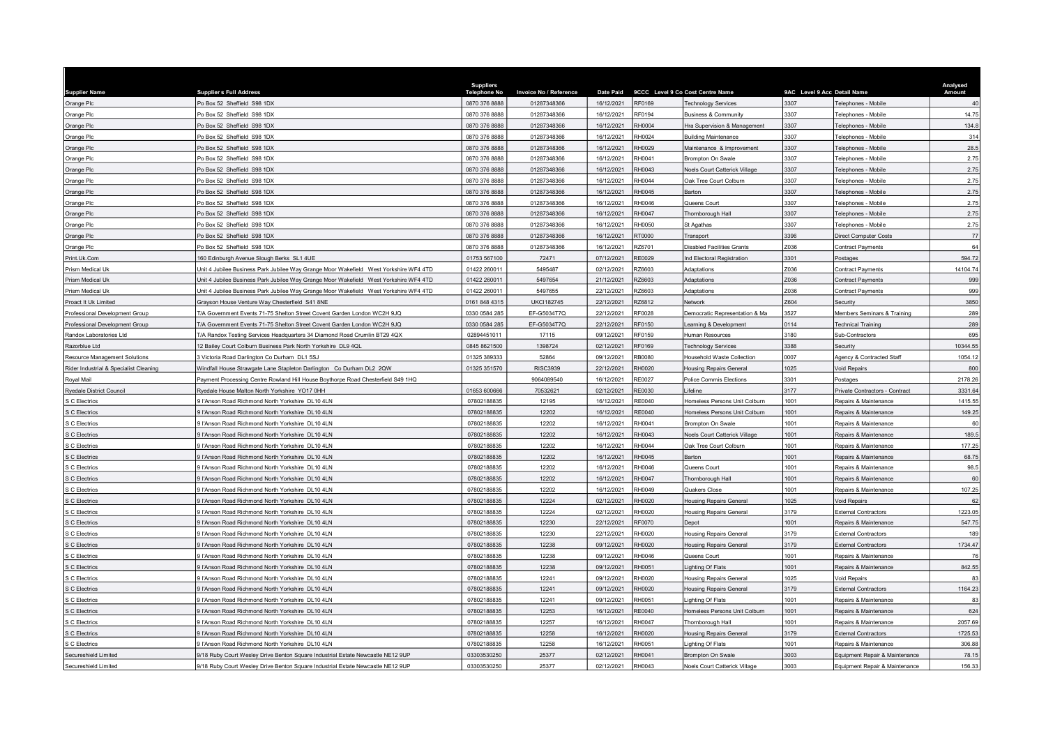| <b>Supplier Name</b>                   | <b>Supplier s Full Address</b>                                                                      | <b>Suppliers</b><br><b>Telephone No</b> | Invoice No / Reference | <b>Date Paid</b>         |               | 9CCC Level 9 Co Cost Centre Name                   | 9AC Level 9 Acc Detail Name |                                                         | Analysed<br>Amount |
|----------------------------------------|-----------------------------------------------------------------------------------------------------|-----------------------------------------|------------------------|--------------------------|---------------|----------------------------------------------------|-----------------------------|---------------------------------------------------------|--------------------|
| Orange Plc                             | Po Box 52 Sheffield S98 1DX                                                                         | 0870 376 8888                           | 01287348366            | 16/12/2021               | <b>RF0169</b> | <b>Technology Services</b>                         | 3307                        | elephones - Mobile                                      | 40                 |
| Orange Plc                             | Po Box 52 Sheffield S98 1DX                                                                         | 0870 376 8888                           | 01287348366            | 16/12/2021               | RF0194        | Business & Community                               | 3307                        | <b>Telephones - Mobile</b>                              | 14.75              |
| Orange Plc                             | Po Box 52 Sheffield S98 1DX                                                                         | 0870 376 8888                           | 01287348366            | 16/12/2021               | RH0004        | Ira Supervision & Management                       | 3307                        | elephones - Mobile                                      | 134.8              |
| Orange Plc                             | Po Box 52 Sheffield S98 1DX                                                                         | 0870 376 8888                           | 01287348366            | 16/12/2021               | RH0024        | <b>Building Maintenance</b>                        | 3307                        | elephones - Mobile                                      | 314                |
| Orange Plc                             | Po Box 52 Sheffield S98 1DX                                                                         | 0870 376 8888                           | 01287348366            | 16/12/2021               | RH0029        | Maintenance & Improvement                          | 3307                        | elephones - Mobile                                      | 28.5               |
| Orange Plc                             | Po Box 52 Sheffield S98 1DX                                                                         | 0870 376 8888                           | 01287348366            | 16/12/2021               | RH0041        | <b>Brompton On Swale</b>                           | 3307                        | elephones - Mobile                                      | 2.75               |
| Orange Plc                             | Po Box 52 Sheffield S98 1DX                                                                         | 0870 376 8888                           | 01287348366            | 16/12/2021               | RH0043        | <b>Noels Court Catterick Village</b>               | 3307                        | elephones - Mobile                                      | 2.75               |
| Orange Plc                             | Po Box 52 Sheffield S98 1DX                                                                         | 0870 376 8888                           | 01287348366            | 16/12/2021               | RH0044        | <b>Dak Tree Court Colburn</b>                      | 3307                        | elephones - Mobile                                      | 2.75               |
| Orange Plc                             | Po Box 52 Sheffield S98 1DX                                                                         | 0870 376 8888                           | 01287348366            | 16/12/2021               | RH0045        | Barton                                             | 3307                        | elephones - Mobile                                      | 2.75               |
| Orange Plc                             | Po Box 52 Sheffield S98 1DX                                                                         | 0870 376 8888                           | 01287348366            | 16/12/2021               | RH0046        | Queens Court                                       | 3307                        | elephones - Mobile                                      | 2.75               |
| Orange Plc                             | Po Box 52 Sheffield S98 1DX                                                                         | 0870 376 8888                           | 01287348366            | 16/12/2021               | <b>RH0047</b> | Thornborough Hall                                  | 3307                        | elephones - Mobile                                      | 2.75               |
| Orange Plc                             | Po Box 52 Sheffield S98 1DX                                                                         | 0870 376 8888                           | 01287348366            | 16/12/2021               | RH0050        | St Agathas                                         | 3307                        | elephones - Mobile                                      | 2.75               |
| Orange Plc                             | Po Box 52 Sheffield S98 1DX                                                                         | 0870 376 8888                           | 01287348366            | 16/12/2021               | RT0000        | Transport                                          | 3396                        | Direct Computer Costs                                   | 77                 |
| Orange Plc                             | Po Box 52 Sheffield S98 1DX                                                                         | 0870 376 8888                           | 01287348366            | 16/12/2021               | RZ6701        | Disabled Facilities Grants                         | Z036                        | Contract Payments                                       | 64                 |
| Print Uk Com                           | 160 Edinburgh Avenue Slough Berks SL1 4UE                                                           | 01753 567100                            | 72471                  | 07/12/2021               | <b>RE0029</b> | Ind Electoral Registration                         | 3301                        | Postages                                                | 594.72             |
| Prism Medical Uk                       | Jnit 4 Jubilee Business Park Jubilee Way Grange Moor Wakefield West Yorkshire WF4 4TD               | 01422 26001                             | 5495487                | 02/12/2021               | RZ6603        | Adaptations                                        | Z036                        | Contract Payments                                       | 14104.74           |
| Prism Medical Uk                       | Unit 4 Jubilee Business Park Jubilee Way Grange Moor Wakefield West Yorkshire WF4 4TD               | 01422 26001                             | 5497654                | 21/12/2021               | RZ6603        | Adaptations                                        | Z036                        | Contract Payments                                       | 999                |
| Prism Medical Uk                       | Unit 4 Jubilee Business Park Jubilee Way Grange Moor Wakefield West Yorkshire WF4 4TD               | 01422 260011                            | 5497655                | 22/12/2021               | RZ6603        | Adaptations                                        | Z036                        | Contract Payments                                       | 999                |
| Proact It Uk Limited                   | Grayson House Venture Way Chesterfield S41 8NE                                                      | 0161 848 4315                           | <b>UKCI182745</b>      | 22/12/2021               | RZ6812        | Network                                            | 7604                        | Security                                                | 3850               |
| Professional Development Group         | T/A Government Events 71-75 Shelton Street Covent Garden London WC2H 9JQ                            | 0330 0584 285                           | EF-G5034T7Q            | 22/12/2021               | RF0028        | Democratic Representation & Ma                     | 3527                        | Members Seminars & Training                             | 289                |
| Professional Development Group         | T/A Government Events 71-75 Shelton Street Covent Garden London WC2H 9JQ                            | 0330 0584 285                           | EF-G5034T7Q            | 22/12/2021               | RF0150        | earning & Development                              | 0114                        | <b>Fechnical Training</b>                               | 289                |
| Randox Laboratories Ltd                | 7/A Randox Testing Services Headquarters 34 Diamond Road Crumlin BT29 4QX                           | 02894451011                             | 17115                  | 09/12/2021               | RF0159        | <b>Human Resources</b>                             | 3180                        | Sub-Contractors                                         | 695                |
| Razorblue Ltd                          | 2 Bailey Court Colburn Business Park North Yorkshire DL9 4QL                                        | 0845 8621500                            | 1398724                | 02/12/2021               | RF0169        | <b>Technology Services</b>                         | 3388                        | Security                                                | 10344.55           |
| Resource Management Solutions          | 3 Victoria Road Darlington Co Durham DL1 5SJ                                                        | 01325 389333                            | 52864                  | 09/12/2021               | <b>RB0080</b> | lousehold Waste Collection                         | 0007                        | Agency & Contracted Staff                               | 1054.12            |
| Rider Industrial & Specialist Cleaning | Windfall House Strawgate Lane Stapleton Darlington Co Durham DL2 2QW                                | 01325 351570                            | <b>RISC3939</b>        | 22/12/2021               | RH0020        | <b>Housing Repairs General</b>                     | 1025                        | <b>/oid Repairs</b>                                     | 800                |
| Royal Mail                             | Payment Processing Centre Rowland Hill House Boythorpe Road Chesterfield S49 1HQ                    |                                         | 9064089540             | 16/12/2021               | <b>RE0027</b> | Police Commis Elections                            | 3301                        | Postages                                                | 2178.26            |
| <b>Ryedale District Council</b>        | Ryedale House Malton North Yorkshire YO17 0HH                                                       | 01653 600666                            | 70532621               | 02/12/2021               | <b>RE0030</b> | ifeline                                            | 3177                        | Private Contractors - Contract                          | 3331.64            |
| S C Electrics                          | 9 l'Anson Road Richmond North Yorkshire DL10 4LN                                                    | 07802188835                             | 12195                  | 16/12/2021               | <b>RE0040</b> | Homeless Persons Unit Colburn                      | 1001                        | Repairs & Maintenance                                   | 1415.55            |
| S C Electrics                          | 9 l'Anson Road Richmond North Yorkshire DL10 4LN                                                    | 07802188835                             | 12202                  | 16/12/2021               | RE0040        | Homeless Persons Unit Colburn                      | 1001                        | Repairs & Maintenance                                   | 149.25             |
| S C Electrics                          | 9 l'Anson Road Richmond North Yorkshire DL10 4LN                                                    | 07802188835                             | 12202                  | 16/12/2021               | RH0041        | Brompton On Swale                                  | 1001                        | Repairs & Maintenance                                   | 60                 |
| <b>S C Electrics</b>                   | 9 l'Anson Road Richmond North Yorkshire DL10 4LN                                                    | 07802188835                             | 12202                  | 16/12/2021               | <b>RH0043</b> | <b>Voels Court Catterick Village</b>               | 1001                        | Repairs & Maintenance                                   | 189.5              |
| S C Electrics                          | 9 l'Anson Road Richmond North Yorkshire DL10 4LN                                                    | 07802188835                             | 12202                  | 16/12/2021               | RH0044        | <b>Jak Tree Court Colburn</b>                      | 1001                        | Repairs & Maintenance                                   | 177.25             |
| S C Electrics                          | 9 l'Anson Road Richmond North Yorkshire DL10 4LN                                                    | 07802188835                             | 12202                  | 16/12/2021               | RH0045        | Barton                                             | 1001                        | Repairs & Maintenance                                   | 68.75              |
| S C Electrics                          | 9 l'Anson Road Richmond North Yorkshire DL10 4LN                                                    | 07802188835                             | 12202                  | 16/12/2021               | RH0046        | Queens Court                                       | 1001                        | Repairs & Maintenance                                   | 98.5               |
| <b>C</b> Electrics                     | 9 I'Anson Road Richmond North Yorkshire DJ 10 4LN                                                   | 07802188835                             | 12202                  | 16/12/2021               | RH0047        | Thornborough Hall                                  | 1001                        | Repairs & Maintenance                                   | 60                 |
| S C Electrics                          | 9 l'Anson Road Richmond North Yorkshire DL10 4LN                                                    | 07802188835                             | 12202                  | 16/12/2021               | RH0049        | Quakers Close                                      | 1001                        | Repairs & Maintenance                                   | 107.25             |
| <b>S C Electrics</b>                   | 9 l'Anson Road Richmond North Yorkshire DL10 4LN                                                    | 07802188835                             | 12224                  | 02/12/2021               | RH0020        | Housing Repairs General                            | 1025                        | Void Repairs                                            | 62                 |
| <b>C</b> Electrics                     | I'Anson Road Richmond North Yorkshire DL10 4LN                                                      | 07802188835                             | 12224                  | 02/12/2021               | RH0020        | <b>Housing Repairs General</b>                     | 3179                        | External Contractors                                    | 1223.05            |
| <b>C</b> Electrics                     | 9 l'Anson Road Richmond North Yorkshire DL10 4LN                                                    | 07802188835                             | 12230                  | 22/12/2021               | <b>RF0070</b> | Depot                                              | 1001                        | Repairs & Maintenance                                   | 547.75             |
| S C Electrics                          | 9 l'Anson Road Richmond North Yorkshire DL10 4LN                                                    | 07802188835                             | 12230                  | 22/12/2021               | RH0020        | Housing Repairs General                            | 3179                        | <b>External Contractors</b>                             | 189                |
| <b>S C Electrics</b>                   | 9 l'Anson Road Richmond North Yorkshire DL10 4LN                                                    | 07802188835                             | 12238                  | 09/12/2021               | RH0020        | lousing Repairs General                            | 3179                        | <b>External Contractors</b>                             | 1734.47            |
| <b>C</b> Electrics                     | 9 l'Anson Road Richmond North Yorkshire DL10 4LN                                                    | 07802188835                             | 12238                  | 09/12/2021               | RH0046        | Queens Court                                       | 1001                        | Repairs & Maintenance                                   | 76                 |
| <b>C</b> Electrics                     | I'Anson Road Richmond North Yorkshire DL10 4LN                                                      | 07802188835                             | 12238                  | 09/12/2021               | RH0051        | ighting Of Flats                                   | 1001                        | Repairs & Maintenance                                   | 842.55             |
| S C Electrics                          | 9 l'Anson Road Richmond North Yorkshire DL10 4LN                                                    | 07802188835                             | 12241                  | 09/12/2021               | RH0020        | Housing Repairs General                            | 1025                        | /oid Repairs                                            | 83                 |
| <b>S C Electrics</b>                   | 9 l'Anson Road Richmond North Yorkshire DL10 4LN                                                    | 07802188835                             | 12241                  | 09/12/2021               | RH0020        | Housing Repairs General                            | 3179                        | <b>External Contractors</b>                             | 1164.23            |
| S C Electrics                          | 9 l'Anson Road Richmond North Yorkshire DL10 4LN                                                    | 07802188835                             | 12241                  | 09/12/2021               | RH0051        | ighting Of Flats                                   | 1001                        | Repairs & Maintenance                                   | R3                 |
|                                        |                                                                                                     |                                         | 12253                  | 16/12/2021               | RE0040        |                                                    | 1001                        |                                                         |                    |
| S C Electrics<br><b>S C Flectrics</b>  | I'Anson Road Richmond North Yorkshire DL10 4LN<br>9 l'Anson Road Richmond North Yorkshire DI 10 4LN | 07802188835<br>07802188835              | 12257                  | 16/12/2021               | <b>RH0047</b> | Homeless Persons Unit Colburn<br>Thornborough Hall | 1001                        | Repairs & Maintenance<br>Repairs & Maintenance          | 624<br>2057.69     |
|                                        | 9 l'Anson Road Richmond North Yorkshire DL10 4LN                                                    | 07802188835                             | 12258                  | 16/12/2021               | RH0020        |                                                    | 3179                        | <b>External Contractors</b>                             | 1725.53            |
| S C Electrics                          | <b>Q l'Anson Road Richmond North Yorkshire DI 10 4LN</b>                                            |                                         |                        |                          | <b>RH0051</b> | Housing Repairs General                            | 1001                        |                                                         |                    |
| S C Electrics<br>Secureshield Limited  | 9/18 Ruby Court Wesley Drive Benton Square Industrial Estate Newcastle NE12 9UP                     | 07802188835<br>03303530250              | 12258<br>25377         | 16/12/2021<br>02/12/2021 | RH0041        | ighting Of Flats<br><b>Brompton On Swale</b>       | 3003                        | Repairs & Maintenance<br>Equipment Repair & Maintenance | 306.88<br>78.15    |
| Secureshield Limited                   | 9/18 Ruby Court Wesley Drive Benton Square Industrial Estate Newcastle NE12 9UP                     | 03303530250                             | 25377                  | 02/12/2021               | <b>RH0043</b> | Noels Court Catterick Village                      | 3003                        | Equipment Repair & Maintenance                          | 156.33             |
|                                        |                                                                                                     |                                         |                        |                          |               |                                                    |                             |                                                         |                    |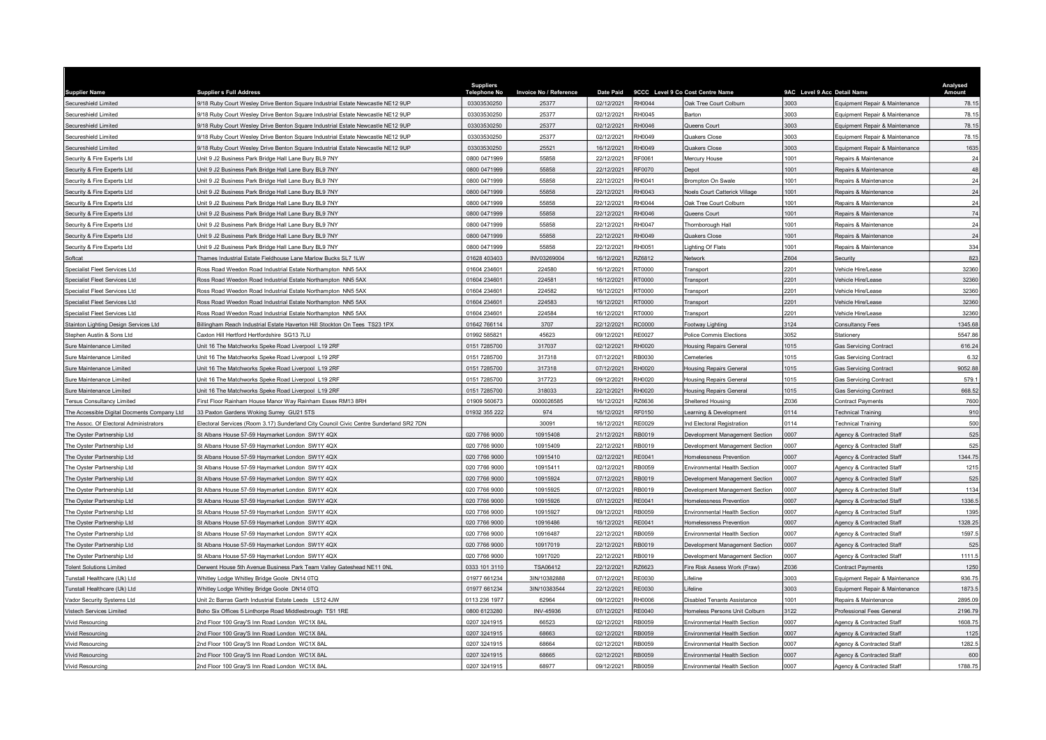| <b>Supplier Name</b>                                                                  | <b>Supplier s Full Address</b>                                                                             | <b>Suppliers</b><br>Telephone No | <b>Invoice No / Reference</b> | <b>Date Paid</b>         |                                | 9CCC Level 9 Co Cost Centre Name                          | 9AC Level 9 Acc Detail Name |                                                         | Analysed<br>Amount |
|---------------------------------------------------------------------------------------|------------------------------------------------------------------------------------------------------------|----------------------------------|-------------------------------|--------------------------|--------------------------------|-----------------------------------------------------------|-----------------------------|---------------------------------------------------------|--------------------|
| Secureshield Limited                                                                  | 9/18 Ruby Court Wesley Drive Benton Square Industrial Estate Newcastle NE12 9UP                            | 03303530250                      | 25377                         | 02/12/2021               | RH0044                         | Oak Tree Court Colburn                                    | 3003                        | Equipment Repair & Maintenance                          | 78.15              |
| Secureshield Limited                                                                  | 9/18 Ruby Court Wesley Drive Benton Square Industrial Estate Newcastle NE12 9UP                            | 03303530250                      | 25377                         | 02/12/2021               | RH0045                         | larton                                                    | 3003                        | Equipment Repair & Maintenance                          | 78.15              |
| Secureshield Limited                                                                  | 9/18 Ruby Court Wesley Drive Benton Square Industrial Estate Newcastle NE12 9UP                            | 03303530250                      | 25377                         | 02/12/2021               | <b>RH0046</b>                  | Queens Court                                              | 3003                        | <b>Equipment Repair &amp; Maintenance</b>               | 78.15              |
| Secureshield Limited                                                                  | 9/18 Ruby Court Wesley Drive Benton Square Industrial Estate Newcastle NE12 9UP                            | 03303530250                      | 25377                         | 02/12/2021               | RH0049                         | Quakers Close                                             | 3003                        | Equipment Repair & Maintenance                          | 78.15              |
| Secureshield Limited                                                                  | 9/18 Ruby Court Wesley Drive Benton Square Industrial Estate Newcastle NE12 9UP                            | 03303530250                      | 25521                         | 16/12/2021               | RH0049                         | Quakers Close                                             | 3003                        | Equipment Repair & Maintenance                          | 1635               |
| Security & Fire Experts Ltd                                                           | Jnit 9 J2 Business Park Bridge Hall Lane Bury BL9 7NY                                                      | 0800 0471999                     | 55858                         | 22/12/2021               | RE0061                         | Mercury House                                             | 001                         | Repairs & Maintenance                                   | 24                 |
| Security & Fire Experts Ltd                                                           | Unit 9 J2 Business Park Bridge Hall Lane Bury BL9 7NY                                                      | 0800 0471999                     | 55858                         | 22/12/2021               | <b>RF0070</b>                  | Depot                                                     | 1001                        | Repairs & Maintenance                                   | 48                 |
| Security & Fire Experts Ltd                                                           | Jnit 9 J2 Business Park Bridge Hall Lane Bury BL9 7NY                                                      | 0800 0471999                     | 55858                         | 22/12/2021               | RH0041                         | Brompton On Swale                                         | 1001                        | Repairs & Maintenance                                   | 24                 |
| Security & Fire Experts Ltd                                                           | Jnit 9 J2 Business Park Bridge Hall Lane Bury BL9 7NY                                                      | 0800 0471999                     | 55858                         | 22/12/2021               | RH0043                         | <b>Voels Court Catterick Village</b>                      | 1001                        | Repairs & Maintenance                                   | 24                 |
| Security & Fire Experts Ltd                                                           | Jnit 9 J2 Business Park Bridge Hall Lane Bury BL9 7NY                                                      | 0800 0471999                     | 55858                         | 22/12/2021               | RH0044                         | Oak Tree Court Colburn                                    | 1001                        | Repairs & Maintenance                                   | 24                 |
| Security & Fire Experts Ltd                                                           | Unit 9 J2 Business Park Bridge Hall Lane Bury BL9 7NY                                                      | 0800 0471999                     | 55858                         | 22/12/2021               | <b>RH0046</b>                  | Queens Court                                              | 1001                        | Repairs & Maintenance                                   | 74                 |
| Security & Fire Experts Ltd                                                           | Jnit 9 J2 Business Park Bridge Hall Lane Bury BL9 7NY                                                      | 0800 0471999                     | 55858                         | 22/12/2021               | RH0047                         | Thornborough Hall                                         | 1001                        | Repairs & Maintenance                                   | 24                 |
| Security & Fire Experts Ltd                                                           | Unit 9 J2 Business Park Bridge Hall Lane Bury BL9 7NY                                                      | 0800 0471999                     | 55858                         | 22/12/2021               | RH0049                         | Quakers Close                                             | 1001                        | Repairs & Maintenance                                   | 24                 |
| Security & Fire Experts Ltd                                                           | Jnit 9 J2 Business Park Bridge Hall Lane Bury BL9 7NY                                                      | 0800 0471999                     | 55858                         | 22/12/2021               | RH0051                         | ighting Of Flats                                          | 1001                        | Repairs & Maintenance                                   | 334                |
| Softcat                                                                               | Thames Industrial Estate Fieldhouse Lane Marlow Bucks SL7 1LW                                              | 01628 403403                     | INV03269004                   | 16/12/2021               | RZ6812                         | Network                                                   | Z604                        | Security                                                | 823                |
| Specialist Fleet Services Ltd                                                         | Ross Road Weedon Road Industrial Estate Northampton NN5 5AX                                                | 01604 234601                     | 224580                        | 16/12/2021               | <b>RT0000</b>                  | Transport                                                 | 2201                        | Vehicle Hire/Lease                                      | 32360              |
| Specialist Fleet Services Ltd                                                         | Ross Road Weedon Road Industrial Estate Northampton NN5 5AX                                                | 01604 234601                     | 224581                        | 16/12/2021               | <b>RT0000</b>                  | Transport                                                 | 2201                        | /ehicle Hire/Lease                                      | 32360              |
| Specialist Fleet Services Ltd                                                         | Ross Road Weedon Road Industrial Estate Northampton NN5 5AX                                                | 01604 234601                     | 224582                        | 16/12/2021               | RT0000                         | Transport                                                 | 2201                        | ehicle Hire/Lease                                       | 32360              |
| Specialist Fleet Services Ltd                                                         | Ross Road Weedon Road Industrial Estate Northampton NN5 5AX                                                | 01604 234601                     | 224583                        | 16/12/2021               | <b>RT0000</b>                  | Transport                                                 | 2201                        | /ehicle Hire/Lease                                      | 32360              |
| Specialist Fleet Services Ltd                                                         | Ross Road Weedon Road Industrial Estate Northampton NN5 5AX                                                | 01604 234601                     | 224584                        | 16/12/2021               | RT0000                         | Transport                                                 | 2201                        | ehicle Hire/Lease                                       | 32360              |
| Stainton Lighting Design Services Ltd                                                 | Billingham Reach Industrial Estate Haverton Hill Stockton On Tees TS23 1PX                                 | 01642 766114                     | 3707                          | 22/12/2021               | RC0000                         | Footway Lighting                                          | 3124                        | Consultancy Fees                                        | 1345.68            |
| Stephen Austin & Sons Ltd                                                             | Caxton Hill Hertford Hertfordshire SG13 7LU                                                                | 01992 585821                     | 45623                         | 09/12/2021               | RE0027                         | Police Commis Elections                                   | 052                         | tationery                                               | 5547.86            |
| Sure Maintenance Limited                                                              | Unit 16 The Matchworks Speke Road Liverpool L19 2RF                                                        | 0151 7285700                     | 317037                        | 02/12/2021               | <b>RH0020</b>                  | <b>Housing Repairs General</b>                            | 1015                        | <b>Gas Servicing Contract</b>                           | 616.24             |
| Sure Maintenance Limited                                                              | Unit 16 The Matchworks Speke Road Liverpool L19 2RF                                                        | 0151 7285700                     | 317318                        | 07/12/2021               | RB0030                         | Cemeteries                                                | 1015                        | <b>Gas Servicing Contract</b>                           | 6.32               |
|                                                                                       |                                                                                                            | 0151 7285700                     |                               |                          | RH0020                         |                                                           | 1015                        |                                                         |                    |
| Sure Maintenance Limited<br>Sure Maintenance Limited                                  | Jnit 16 The Matchworks Speke Road Liverpool L19 2RF<br>Jnit 16 The Matchworks Speke Road Liverpool L19 2RF | 0151 7285700                     | 317318<br>317723              | 07/12/2021<br>09/12/2021 | RH0020                         | <b>Housing Repairs General</b>                            | 1015                        | <b>Sas Servicing Contract</b><br>Gas Servicing Contract | 9052.88<br>579.1   |
|                                                                                       |                                                                                                            | 0151 7285700                     | 318033                        | 22/12/2021               | <b>RH0020</b>                  | <b>Housing Repairs General</b>                            | 1015                        |                                                         | 668.52             |
| Sure Maintenance Limited                                                              | Unit 16 The Matchworks Speke Road Liverpool L19 2RF                                                        | 01909 560673                     | 0000026585                    | 16/12/2021               | RZ6636                         | <b>Housing Repairs General</b>                            | Z036                        | <b>Gas Servicing Contract</b>                           | 7600               |
| <b>Tersus Consultancy Limited</b>                                                     | First Floor Rainham House Manor Way Rainham Essex RM13 8RH<br>33 Paxton Gardens Woking Surrey GU21 5TS     | 01932 355 222                    | 974                           | 16/12/2021               | RF0150                         | Sheltered Housing                                         | 0114                        | Contract Payments<br><b>Technical Training</b>          | 910                |
| The Accessible Digital Docments Company Ltd<br>The Assoc. Of Flectoral Administrators |                                                                                                            |                                  | 30091                         |                          | <b>RE0029</b>                  | earning & Development                                     | 0114                        |                                                         | 500                |
|                                                                                       | Electoral Services (Room 3.17) Sunderland City Council Civic Centre Sunderland SR2 7DN                     |                                  | 10915408                      | 16/12/2021<br>21/12/2021 | RB0019                         | nd Electoral Registration                                 | 0007                        | echnical Training                                       | 525                |
| The Oyster Partnership Ltd                                                            | St Albans House 57-59 Haymarket London SW1Y 4QX                                                            | 020 7766 9000<br>020 7766 9000   | 10915409                      | 22/12/2021               | RB0019                         | Development Management Section                            | 0007                        | Agency & Contracted Staff                               | 525                |
| The Oyster Partnership Ltd<br>The Oyster Partnership Ltd                              | St Albans House 57-59 Haymarket London SW1Y 4QX                                                            | 020 7766 9000                    | 10915410                      | 02/12/2021               | RE0041                         | Development Management Section<br>Homelessness Prevention | 0007                        | Agency & Contracted Staff                               | 1344.75            |
| The Oyster Partnership Ltd                                                            | St Albans House 57-59 Haymarket London SW1Y 4QX<br>St Albans House 57-59 Haymarket London SW1Y 4QX         | 020 7766 9000                    | 10915411                      | 02/12/2021               | RB0059                         |                                                           | 0007                        | Agency & Contracted Staff                               | 1215               |
|                                                                                       |                                                                                                            |                                  |                               |                          |                                | invironmental Health Section                              |                             | Agency & Contracted Staff                               |                    |
| The Oyster Partnership Ltd                                                            | St Albans House 57-59 Haymarket London SW1Y 4QX                                                            | 020 7766 9000                    | 10915924                      | 07/12/2021<br>07/12/2021 | RB0019                         | levelopment Management Section                            | 0007                        | Agency & Contracted Staff                               | 525<br>1134        |
| The Oyster Partnership Ltd                                                            | St Albans House 57-59 Haymarket London SW1Y 4QX                                                            | 020 7766 9000                    | 10915925                      |                          | RB0019                         | Development Management Section                            | 0007<br>0007                | Agency & Contracted Staff                               |                    |
| The Oyster Partnership Ltd                                                            | St Albans House 57-59 Haymarket London SW1Y 4QX                                                            | 020 7766 9000                    | 10915926                      | 07/12/2021               | RE0041                         | Homelessness Prevention                                   |                             | Agency & Contracted Staff                               | 1336.5             |
| The Oyster Partnership Ltd                                                            | St Albans House 57-59 Haymarket London SW1Y 4QX                                                            | 020 7766 9000<br>020 7766 9000   | 10915927<br>10916486          | 09/12/2021<br>16/12/2021 | <b>RB0059</b><br><b>RE0041</b> | invironmental Health Section                              | 0007<br>0007                | Agency & Contracted Staff                               | 1395<br>1328.25    |
| The Oyster Partnership Ltd                                                            | St Albans House 57-59 Haymarket London SW1Y 4QX                                                            |                                  | 10916487                      |                          | RB0059                         | Homelessness Prevention<br>Environmental Health Section   | 0007                        | Agency & Contracted Staff                               | 1597.5             |
| The Oyster Partnership Ltd                                                            | St Albans House 57-59 Haymarket London SW1Y 4QX                                                            | 020 7766 9000                    |                               | 22/12/2021               |                                |                                                           |                             | Agency & Contracted Staff                               |                    |
| The Oyster Partnership Ltd                                                            | St Albans House 57-59 Haymarket London SW1Y 4QX                                                            | 020 7766 9000                    | 10917019                      | 22/12/2021               | RB0019<br><b>RB0019</b>        | Development Management Section                            | 0007                        | Agency & Contracted Staff                               | 525                |
| The Oyster Partnership Ltd                                                            | St Albans House 57-59 Haymarket London SW1Y 4QX                                                            | 020 7766 9000                    | 10917020                      | 22/12/2021               |                                | Development Management Section                            | 0007                        | Agency & Contracted Staff                               | 1111.5             |
| <b>Tolent Solutions Limited</b>                                                       | Derwent House 5th Avenue Business Park Team Valley Gateshead NE11 ONL                                      | 0333 101 3110                    | TSA06412                      | 22/12/2021               | RZ6623                         | Fire Risk Assess Work (Fraw)                              | Z036                        | Contract Payments                                       | 1250               |
| Tunstall Healthcare (Uk) Ltd                                                          | Whitley Lodge Whitley Bridge Goole DN14 0TQ                                                                | 01977 661234                     | 3IN/10382888                  | 07/12/2021               | RE0030                         | ifeline                                                   | 3003                        | quipment Repair & Maintenance                           | 936.75             |
| Tunstall Healthcare (Uk) Ltd                                                          | Whitley Lodge Whitley Bridge Goole DN14 0TQ                                                                | 01977 661234                     | 3IN/10383544                  | 22/12/2021               | RE0030                         | ifeline                                                   | 3003                        | Equipment Repair & Maintenance                          | 1873.5             |
| Vador Security Systems Ltd                                                            | Jnit 2c Barras Garth Industrial Estate Leeds LS12 4JW                                                      | 0113 236 1977                    | 62964                         | 09/12/2021               | RH0006                         | Disabled Tenants Assistance                               | 1001                        | Repairs & Maintenance                                   | 2895.09            |
| Vistech Services Limited                                                              | Boho Six Offices 5 Linthorpe Road Middlesbrough TS1 1RE                                                    | 0800 6123280                     | <b>INV-45936</b>              | 07/12/2021               | <b>RE0040</b>                  | Homeless Persons Unit Colburn                             | 3122                        | Professional Fees General                               | 2196.79            |
| <b>Vivid Resourcing</b>                                                               | 2nd Floor 100 Gray'S Inn Road London WC1X 8AL                                                              | 0207 3241915                     | 66523                         | 02/12/2021               | <b>RB0059</b>                  | Environmental Health Section                              | 0007                        | Agency & Contracted Staff                               | 1608.75            |
| <b>Vivid Resourcing</b>                                                               | 2nd Floor 100 Gray'S Inn Road London WC1X 8AL                                                              | 0207 3241915                     | 68663                         | 02/12/2021               | RB0059                         | Environmental Health Section                              | 0007                        | Agency & Contracted Staff                               | 1125               |
| <b>Vivid Resourcing</b>                                                               | 2nd Floor 100 Gray'S Inn Road London WC1X 8AL                                                              | 0207 3241915                     | 68664                         | 02/12/2021               | RB0059                         | Invironmental Health Section                              | 0007                        | Agency & Contracted Staff                               | 1282.5             |
| <b>Vivid Resourcing</b>                                                               | 2nd Floor 100 Gray'S Inn Road London WC1X 8AL                                                              | 0207 3241915                     | 68665                         | 02/12/2021               | <b>RB0059</b>                  | Environmental Health Section                              | 0007                        | Agency & Contracted Staff                               | 600                |
| Vivid Resourcing                                                                      | 2nd Floor 100 Gray'S Inn Road London WC1X 8AL                                                              | 0207 3241915                     | 68977                         | 09/12/2021               | <b>RB0059</b>                  | Environmental Health Section                              | 0007                        | Agency & Contracted Staff                               | 1788.75            |